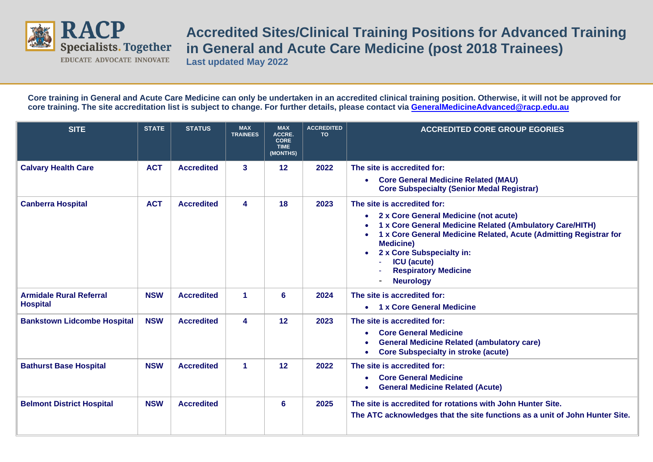

## **Accredited Sites/Clinical Training Positions for Advanced Training in General and Acute Care Medicine (post 2018 Trainees)**

**Last updated May 2022**

**Core training in General and Acute Care Medicine can only be undertaken in an accredited clinical training position. Otherwise, it will not be approved for core training. The site accreditation list is subject to change. For further details, please contact via [GeneralMedicineAdvanced@racp.edu.au](mailto:GeneralMedicineAdvanced@racp.edu.au)**

| <b>SITE</b>                                       | <b>STATE</b> | <b>STATUS</b>     | <b>MAX</b><br><b>TRAINEES</b> | <b>MAX</b><br>ACCRE.<br><b>CORE</b><br><b>TIME</b><br>(MONTHS) | <b>ACCREDITED</b><br><b>TO</b> | <b>ACCREDITED CORE GROUP EGORIES</b>                                                                                                                                                                                                                                                                                                         |
|---------------------------------------------------|--------------|-------------------|-------------------------------|----------------------------------------------------------------|--------------------------------|----------------------------------------------------------------------------------------------------------------------------------------------------------------------------------------------------------------------------------------------------------------------------------------------------------------------------------------------|
| <b>Calvary Health Care</b>                        | <b>ACT</b>   | <b>Accredited</b> | 3                             | 12                                                             | 2022                           | The site is accredited for:<br>• Core General Medicine Related (MAU)<br><b>Core Subspecialty (Senior Medal Registrar)</b>                                                                                                                                                                                                                    |
| <b>Canberra Hospital</b>                          | <b>ACT</b>   | <b>Accredited</b> | 4                             | 18                                                             | 2023                           | The site is accredited for:<br>2 x Core General Medicine (not acute)<br>1 x Core General Medicine Related (Ambulatory Care/HITH)<br>1 x Core General Medicine Related, Acute (Admitting Registrar for<br><b>Medicine)</b><br>2 x Core Subspecialty in:<br>$\bullet$<br><b>ICU</b> (acute)<br><b>Respiratory Medicine</b><br><b>Neurology</b> |
| <b>Armidale Rural Referral</b><br><b>Hospital</b> | <b>NSW</b>   | <b>Accredited</b> | $\blacktriangleleft$          | 6                                                              | 2024                           | The site is accredited for:<br>1 x Core General Medicine<br>$\bullet$                                                                                                                                                                                                                                                                        |
| <b>Bankstown Lidcombe Hospital</b>                | <b>NSW</b>   | <b>Accredited</b> | 4                             | 12                                                             | 2023                           | The site is accredited for:<br><b>Core General Medicine</b><br><b>General Medicine Related (ambulatory care)</b><br><b>Core Subspecialty in stroke (acute)</b>                                                                                                                                                                               |
| <b>Bathurst Base Hospital</b>                     | <b>NSW</b>   | <b>Accredited</b> | $\blacktriangleleft$          | 12                                                             | 2022                           | The site is accredited for:<br><b>Core General Medicine</b><br><b>General Medicine Related (Acute)</b>                                                                                                                                                                                                                                       |
| <b>Belmont District Hospital</b>                  | <b>NSW</b>   | <b>Accredited</b> |                               | 6                                                              | 2025                           | The site is accredited for rotations with John Hunter Site.<br>The ATC acknowledges that the site functions as a unit of John Hunter Site.                                                                                                                                                                                                   |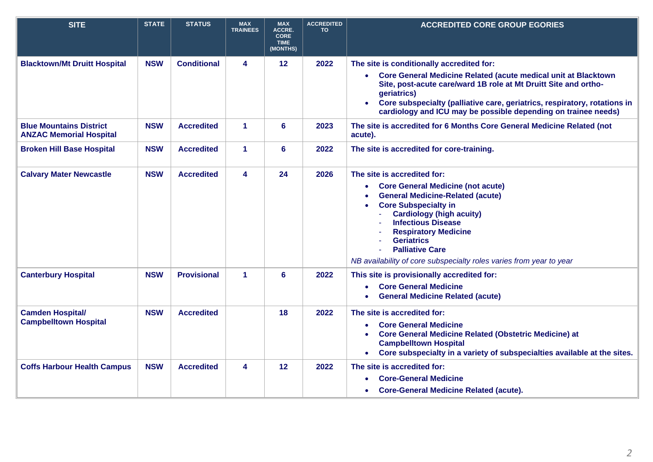| <b>SITE</b>                                                      | <b>STATE</b> | <b>STATUS</b>      | <b>MAX</b><br><b>TRAINEES</b> | <b>MAX</b><br><b>ACCRE.</b><br><b>CORE</b><br><b>TIME</b><br>(MONTHS) | <b>ACCREDITED</b><br>TO. | <b>ACCREDITED CORE GROUP EGORIES</b>                                                                                                                                                                                                                                                                                                                                   |
|------------------------------------------------------------------|--------------|--------------------|-------------------------------|-----------------------------------------------------------------------|--------------------------|------------------------------------------------------------------------------------------------------------------------------------------------------------------------------------------------------------------------------------------------------------------------------------------------------------------------------------------------------------------------|
| <b>Blacktown/Mt Druitt Hospital</b>                              | <b>NSW</b>   | <b>Conditional</b> | 4                             | 12                                                                    | 2022                     | The site is conditionally accredited for:<br>• Core General Medicine Related (acute medical unit at Blacktown<br>Site, post-acute care/ward 1B role at Mt Druitt Site and ortho-<br>geriatrics)<br>Core subspecialty (palliative care, geriatrics, respiratory, rotations in<br>cardiology and ICU may be possible depending on trainee needs)                         |
| <b>Blue Mountains District</b><br><b>ANZAC Memorial Hospital</b> | <b>NSW</b>   | <b>Accredited</b>  | 1                             | 6                                                                     | 2023                     | The site is accredited for 6 Months Core General Medicine Related (not<br>acute).                                                                                                                                                                                                                                                                                      |
| <b>Broken Hill Base Hospital</b>                                 | <b>NSW</b>   | <b>Accredited</b>  | 1                             | 6                                                                     | 2022                     | The site is accredited for core-training.                                                                                                                                                                                                                                                                                                                              |
| <b>Calvary Mater Newcastle</b>                                   | <b>NSW</b>   | <b>Accredited</b>  | 4                             | 24                                                                    | 2026                     | The site is accredited for:<br><b>Core General Medicine (not acute)</b><br><b>General Medicine-Related (acute)</b><br><b>Core Subspecialty in</b><br><b>Cardiology (high acuity)</b><br><b>Infectious Disease</b><br><b>Respiratory Medicine</b><br><b>Geriatrics</b><br><b>Palliative Care</b><br>NB availability of core subspecialty roles varies from year to year |
| <b>Canterbury Hospital</b>                                       | <b>NSW</b>   | <b>Provisional</b> | 1                             | 6                                                                     | 2022                     | This site is provisionally accredited for:<br><b>Core General Medicine</b><br><b>General Medicine Related (acute)</b><br>$\bullet$                                                                                                                                                                                                                                     |
| <b>Camden Hospital/</b><br><b>Campbelltown Hospital</b>          | <b>NSW</b>   | <b>Accredited</b>  |                               | 18                                                                    | 2022                     | The site is accredited for:<br><b>Core General Medicine</b><br>Core General Medicine Related (Obstetric Medicine) at<br><b>Campbelltown Hospital</b><br>Core subspecialty in a variety of subspecialties available at the sites.                                                                                                                                       |
| <b>Coffs Harbour Health Campus</b>                               | <b>NSW</b>   | <b>Accredited</b>  | 4                             | 12                                                                    | 2022                     | The site is accredited for:<br><b>Core-General Medicine</b><br><b>Core-General Medicine Related (acute).</b>                                                                                                                                                                                                                                                           |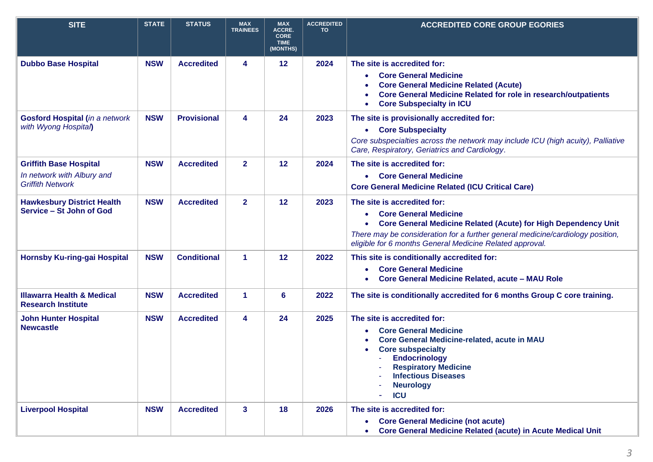| <b>SITE</b>                                                                            | <b>STATE</b> | <b>STATUS</b>      | <b>MAX</b><br><b>TRAINEES</b> | <b>MAX</b><br><b>ACCRE.</b><br><b>CORE</b> | <b>ACCREDITED</b><br>TO | <b>ACCREDITED CORE GROUP EGORIES</b>                                                                                                                                                                                                                                                                         |
|----------------------------------------------------------------------------------------|--------------|--------------------|-------------------------------|--------------------------------------------|-------------------------|--------------------------------------------------------------------------------------------------------------------------------------------------------------------------------------------------------------------------------------------------------------------------------------------------------------|
|                                                                                        |              |                    |                               | <b>TIME</b><br>(MONTHS)                    |                         |                                                                                                                                                                                                                                                                                                              |
| <b>Dubbo Base Hospital</b>                                                             | <b>NSW</b>   | <b>Accredited</b>  | 4                             | 12                                         | 2024                    | The site is accredited for:<br><b>Core General Medicine</b><br><b>Core General Medicine Related (Acute)</b><br><b>Core General Medicine Related for role in research/outpatients</b><br><b>Core Subspecialty in ICU</b><br>٠                                                                                 |
| <b>Gosford Hospital (in a network</b><br>with Wyong Hospital)                          | <b>NSW</b>   | <b>Provisional</b> | 4                             | 24                                         | 2023                    | The site is provisionally accredited for:<br>• Core Subspecialty<br>Core subspecialties across the network may include ICU (high acuity), Palliative<br>Care, Respiratory, Geriatrics and Cardiology.                                                                                                        |
| <b>Griffith Base Hospital</b><br>In network with Albury and<br><b>Griffith Network</b> | <b>NSW</b>   | <b>Accredited</b>  | $\mathbf{2}$                  | 12                                         | 2024                    | The site is accredited for:<br>• Core General Medicine<br><b>Core General Medicine Related (ICU Critical Care)</b>                                                                                                                                                                                           |
| <b>Hawkesbury District Health</b><br>Service - St John of God                          | <b>NSW</b>   | <b>Accredited</b>  | $\mathbf{2}$                  | 12                                         | 2023                    | The site is accredited for:<br><b>Core General Medicine</b><br>$\bullet$<br><b>Core General Medicine Related (Acute) for High Dependency Unit</b><br>$\bullet$<br>There may be consideration for a further general medicine/cardiology position,<br>eligible for 6 months General Medicine Related approval. |
| Hornsby Ku-ring-gai Hospital                                                           | <b>NSW</b>   | <b>Conditional</b> | 1                             | 12                                         | 2022                    | This site is conditionally accredited for:<br><b>Core General Medicine</b><br>Core General Medicine Related, acute - MAU Role                                                                                                                                                                                |
| <b>Illawarra Health &amp; Medical</b><br><b>Research Institute</b>                     | <b>NSW</b>   | <b>Accredited</b>  | 1                             | 6                                          | 2022                    | The site is conditionally accredited for 6 months Group C core training.                                                                                                                                                                                                                                     |
| <b>John Hunter Hospital</b><br><b>Newcastle</b>                                        | <b>NSW</b>   | <b>Accredited</b>  | 4                             | 24                                         | 2025                    | The site is accredited for:<br><b>Core General Medicine</b><br>Core General Medicine-related, acute in MAU<br><b>Core subspecialty</b><br><b>Endocrinology</b><br><b>Respiratory Medicine</b><br><b>Infectious Diseases</b><br><b>Neurology</b><br><b>ICU</b>                                                |
| <b>Liverpool Hospital</b>                                                              | <b>NSW</b>   | <b>Accredited</b>  | 3                             | 18                                         | 2026                    | The site is accredited for:<br>• Core General Medicine (not acute)<br><b>Core General Medicine Related (acute) in Acute Medical Unit</b><br>$\bullet$                                                                                                                                                        |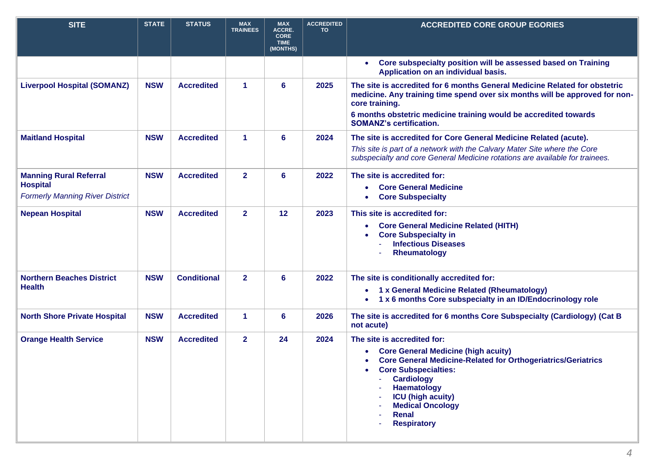| <b>SITE</b>                                                                                | <b>STATE</b> | <b>STATUS</b>      | <b>MAX</b><br><b>TRAINEES</b> | <b>MAX</b><br><b>ACCRE.</b><br><b>CORE</b><br><b>TIME</b><br>(MONTHS) | <b>ACCREDITED</b><br><b>TO</b> | <b>ACCREDITED CORE GROUP EGORIES</b>                                                                                                                                                                                                                                                                                    |
|--------------------------------------------------------------------------------------------|--------------|--------------------|-------------------------------|-----------------------------------------------------------------------|--------------------------------|-------------------------------------------------------------------------------------------------------------------------------------------------------------------------------------------------------------------------------------------------------------------------------------------------------------------------|
|                                                                                            |              |                    |                               |                                                                       |                                | Core subspecialty position will be assessed based on Training<br>Application on an individual basis.                                                                                                                                                                                                                    |
| <b>Liverpool Hospital (SOMANZ)</b>                                                         | <b>NSW</b>   | <b>Accredited</b>  | 1                             | 6                                                                     | 2025                           | The site is accredited for 6 months General Medicine Related for obstetric<br>medicine. Any training time spend over six months will be approved for non-<br>core training.<br>6 months obstetric medicine training would be accredited towards<br><b>SOMANZ's certification.</b>                                       |
| <b>Maitland Hospital</b>                                                                   | <b>NSW</b>   | <b>Accredited</b>  | 1                             | 6                                                                     | 2024                           | The site is accredited for Core General Medicine Related (acute).<br>This site is part of a network with the Calvary Mater Site where the Core<br>subspecialty and core General Medicine rotations are available for trainees.                                                                                          |
| <b>Manning Rural Referral</b><br><b>Hospital</b><br><b>Formerly Manning River District</b> | <b>NSW</b>   | <b>Accredited</b>  | $\overline{2}$                | 6                                                                     | 2022                           | The site is accredited for:<br><b>Core General Medicine</b><br><b>Core Subspecialty</b>                                                                                                                                                                                                                                 |
| <b>Nepean Hospital</b>                                                                     | <b>NSW</b>   | <b>Accredited</b>  | $\overline{2}$                | 12                                                                    | 2023                           | This site is accredited for:<br><b>Core General Medicine Related (HITH)</b><br><b>Core Subspecialty in</b><br><b>Infectious Diseases</b><br><b>Rheumatology</b>                                                                                                                                                         |
| <b>Northern Beaches District</b><br><b>Health</b>                                          | <b>NSW</b>   | <b>Conditional</b> | $\mathbf{2}$                  | 6                                                                     | 2022                           | The site is conditionally accredited for:<br>1 x General Medicine Related (Rheumatology)<br>$\bullet$<br>1 x 6 months Core subspecialty in an ID/Endocrinology role                                                                                                                                                     |
| <b>North Shore Private Hospital</b>                                                        | <b>NSW</b>   | <b>Accredited</b>  | 1                             | 6                                                                     | 2026                           | The site is accredited for 6 months Core Subspecialty (Cardiology) (Cat B<br>not acute)                                                                                                                                                                                                                                 |
| <b>Orange Health Service</b>                                                               | <b>NSW</b>   | <b>Accredited</b>  | $\mathbf{2}$                  | 24                                                                    | 2024                           | The site is accredited for:<br><b>Core General Medicine (high acuity)</b><br><b>Core General Medicine-Related for Orthogeriatrics/Geriatrics</b><br><b>Core Subspecialties:</b><br><b>Cardiology</b><br><b>Haematology</b><br><b>ICU</b> (high acuity)<br><b>Medical Oncology</b><br><b>Renal</b><br><b>Respiratory</b> |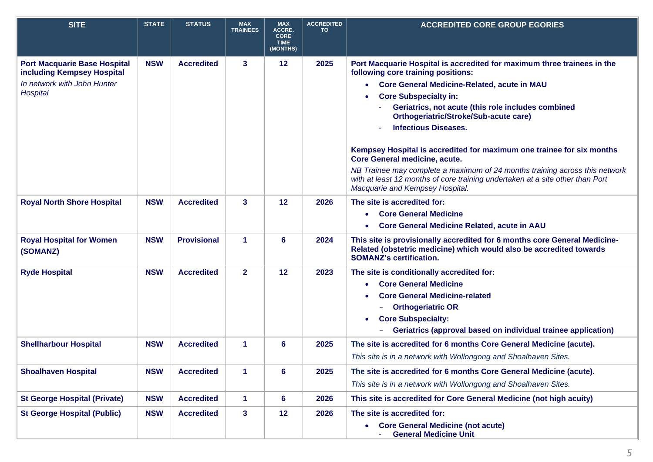| <b>SITE</b>                                                                                      | <b>STATE</b> | <b>STATUS</b>      | <b>MAX</b><br><b>TRAINEES</b> | <b>MAX</b><br><b>ACCRE.</b><br><b>CORE</b><br><b>TIME</b><br>(MONTHS) | <b>ACCREDITED</b><br>то | <b>ACCREDITED CORE GROUP EGORIES</b>                                                                                                                                                            |
|--------------------------------------------------------------------------------------------------|--------------|--------------------|-------------------------------|-----------------------------------------------------------------------|-------------------------|-------------------------------------------------------------------------------------------------------------------------------------------------------------------------------------------------|
| <b>Port Macquarie Base Hospital</b><br>including Kempsey Hospital<br>In network with John Hunter | <b>NSW</b>   | <b>Accredited</b>  | 3                             | 12                                                                    | 2025                    | Port Macquarie Hospital is accredited for maximum three trainees in the<br>following core training positions:                                                                                   |
| Hospital                                                                                         |              |                    |                               |                                                                       |                         | Core General Medicine-Related, acute in MAU<br><b>Core Subspecialty in:</b>                                                                                                                     |
|                                                                                                  |              |                    |                               |                                                                       |                         | Geriatrics, not acute (this role includes combined<br>Orthogeriatric/Stroke/Sub-acute care)                                                                                                     |
|                                                                                                  |              |                    |                               |                                                                       |                         | <b>Infectious Diseases.</b>                                                                                                                                                                     |
|                                                                                                  |              |                    |                               |                                                                       |                         | Kempsey Hospital is accredited for maximum one trainee for six months<br>Core General medicine, acute.                                                                                          |
|                                                                                                  |              |                    |                               |                                                                       |                         | NB Trainee may complete a maximum of 24 months training across this network<br>with at least 12 months of core training undertaken at a site other than Port<br>Macquarie and Kempsey Hospital. |
| <b>Royal North Shore Hospital</b>                                                                | <b>NSW</b>   | <b>Accredited</b>  | 3                             | 12                                                                    | 2026                    | The site is accredited for:                                                                                                                                                                     |
|                                                                                                  |              |                    |                               |                                                                       |                         | <b>Core General Medicine</b><br>٠                                                                                                                                                               |
|                                                                                                  |              |                    |                               |                                                                       |                         | Core General Medicine Related, acute in AAU                                                                                                                                                     |
| <b>Royal Hospital for Women</b><br>(SOMANZ)                                                      | <b>NSW</b>   | <b>Provisional</b> | 1                             | 6                                                                     | 2024                    | This site is provisionally accredited for 6 months core General Medicine-<br>Related (obstetric medicine) which would also be accredited towards<br><b>SOMANZ's certification.</b>              |
| <b>Ryde Hospital</b>                                                                             | <b>NSW</b>   | <b>Accredited</b>  | $\mathbf{2}$                  | 12                                                                    | 2023                    | The site is conditionally accredited for:                                                                                                                                                       |
|                                                                                                  |              |                    |                               |                                                                       |                         | <b>Core General Medicine</b>                                                                                                                                                                    |
|                                                                                                  |              |                    |                               |                                                                       |                         | <b>Core General Medicine-related</b>                                                                                                                                                            |
|                                                                                                  |              |                    |                               |                                                                       |                         | <b>Orthogeriatric OR</b><br>Ξ.                                                                                                                                                                  |
|                                                                                                  |              |                    |                               |                                                                       |                         | <b>Core Subspecialty:</b>                                                                                                                                                                       |
|                                                                                                  |              |                    |                               |                                                                       |                         | Geriatrics (approval based on individual trainee application)<br>Ξ.                                                                                                                             |
| <b>Shellharbour Hospital</b>                                                                     | <b>NSW</b>   | <b>Accredited</b>  | 1                             | 6                                                                     | 2025                    | The site is accredited for 6 months Core General Medicine (acute).                                                                                                                              |
|                                                                                                  |              |                    |                               |                                                                       |                         | This site is in a network with Wollongong and Shoalhaven Sites.                                                                                                                                 |
| <b>Shoalhaven Hospital</b>                                                                       | <b>NSW</b>   | <b>Accredited</b>  | 1                             | 6                                                                     | 2025                    | The site is accredited for 6 months Core General Medicine (acute).                                                                                                                              |
|                                                                                                  |              |                    |                               |                                                                       |                         | This site is in a network with Wollongong and Shoalhaven Sites.                                                                                                                                 |
| <b>St George Hospital (Private)</b>                                                              | <b>NSW</b>   | <b>Accredited</b>  | $\blacktriangleleft$          | 6                                                                     | 2026                    | This site is accredited for Core General Medicine (not high acuity)                                                                                                                             |
| <b>St George Hospital (Public)</b>                                                               | <b>NSW</b>   | <b>Accredited</b>  | $\mathbf{3}$                  | 12                                                                    | 2026                    | The site is accredited for:                                                                                                                                                                     |
|                                                                                                  |              |                    |                               |                                                                       |                         | <b>Core General Medicine (not acute)</b><br>$\bullet$<br><b>General Medicine Unit</b>                                                                                                           |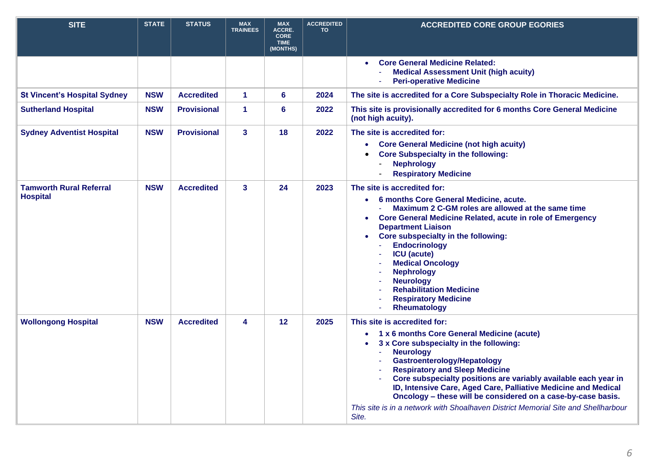| <b>SITE</b>                                       | <b>STATE</b> | <b>STATUS</b>      | <b>MAX</b><br><b>TRAINEES</b> | <b>MAX</b><br>ACCRE.<br><b>CORE</b><br><b>TIME</b><br>(MONTHS) | <b>ACCREDITED</b><br><b>TO</b> | <b>ACCREDITED CORE GROUP EGORIES</b>                                                                                                                                                                                                                                                                                                                                                                                                                                                                                 |
|---------------------------------------------------|--------------|--------------------|-------------------------------|----------------------------------------------------------------|--------------------------------|----------------------------------------------------------------------------------------------------------------------------------------------------------------------------------------------------------------------------------------------------------------------------------------------------------------------------------------------------------------------------------------------------------------------------------------------------------------------------------------------------------------------|
|                                                   |              |                    |                               |                                                                |                                | <b>Core General Medicine Related:</b><br><b>Medical Assessment Unit (high acuity)</b><br><b>Peri-operative Medicine</b>                                                                                                                                                                                                                                                                                                                                                                                              |
| <b>St Vincent's Hospital Sydney</b>               | <b>NSW</b>   | <b>Accredited</b>  | $\mathbf{1}$                  | 6                                                              | 2024                           | The site is accredited for a Core Subspecialty Role in Thoracic Medicine.                                                                                                                                                                                                                                                                                                                                                                                                                                            |
| <b>Sutherland Hospital</b>                        | <b>NSW</b>   | <b>Provisional</b> | $\blacktriangleleft$          | 6                                                              | 2022                           | This site is provisionally accredited for 6 months Core General Medicine<br>(not high acuity).                                                                                                                                                                                                                                                                                                                                                                                                                       |
| <b>Sydney Adventist Hospital</b>                  | <b>NSW</b>   | <b>Provisional</b> | $\mathbf{3}$                  | 18                                                             | 2022                           | The site is accredited for:<br><b>Core General Medicine (not high acuity)</b><br><b>Core Subspecialty in the following:</b><br>$\bullet$<br><b>Nephrology</b><br><b>Respiratory Medicine</b>                                                                                                                                                                                                                                                                                                                         |
| <b>Tamworth Rural Referral</b><br><b>Hospital</b> | <b>NSW</b>   | <b>Accredited</b>  | $\mathbf{3}$                  | 24                                                             | 2023                           | The site is accredited for:<br>6 months Core General Medicine, acute.<br>Maximum 2 C-GM roles are allowed at the same time<br>Core General Medicine Related, acute in role of Emergency<br><b>Department Liaison</b><br>Core subspecialty in the following:<br><b>Endocrinology</b><br><b>ICU</b> (acute)<br><b>Medical Oncology</b><br><b>Nephrology</b><br><b>Neurology</b><br><b>Rehabilitation Medicine</b><br><b>Respiratory Medicine</b><br>Rheumatology                                                       |
| <b>Wollongong Hospital</b>                        | <b>NSW</b>   | <b>Accredited</b>  | 4                             | 12                                                             | 2025                           | This site is accredited for:<br>1 x 6 months Core General Medicine (acute)<br>3 x Core subspecialty in the following:<br><b>Neurology</b><br>Gastroenterology/Hepatology<br><b>Respiratory and Sleep Medicine</b><br>Core subspecialty positions are variably available each year in<br>ID, Intensive Care, Aged Care, Palliative Medicine and Medical<br>Oncology - these will be considered on a case-by-case basis.<br>This site is in a network with Shoalhaven District Memorial Site and Shellharbour<br>Site. |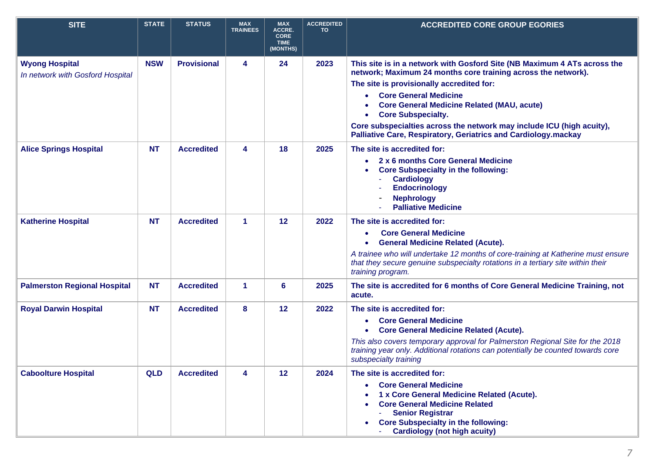| <b>SITE</b>                                               | <b>STATE</b> | <b>STATUS</b>      | <b>MAX</b><br><b>TRAINEES</b> | <b>MAX</b><br><b>ACCRE.</b><br><b>CORE</b><br><b>TIME</b><br>(MONTHS) | <b>ACCREDITED</b><br>TO | <b>ACCREDITED CORE GROUP EGORIES</b>                                                                                                                                                                                                                                                                                                                                                                                                                       |
|-----------------------------------------------------------|--------------|--------------------|-------------------------------|-----------------------------------------------------------------------|-------------------------|------------------------------------------------------------------------------------------------------------------------------------------------------------------------------------------------------------------------------------------------------------------------------------------------------------------------------------------------------------------------------------------------------------------------------------------------------------|
| <b>Wyong Hospital</b><br>In network with Gosford Hospital | <b>NSW</b>   | <b>Provisional</b> | 4                             | 24                                                                    | 2023                    | This site is in a network with Gosford Site (NB Maximum 4 ATs across the<br>network; Maximum 24 months core training across the network).<br>The site is provisionally accredited for:<br><b>Core General Medicine</b><br><b>Core General Medicine Related (MAU, acute)</b><br><b>Core Subspecialty.</b><br>Core subspecialties across the network may include ICU (high acuity),<br><b>Palliative Care, Respiratory, Geriatrics and Cardiology.mackay</b> |
| <b>Alice Springs Hospital</b>                             | <b>NT</b>    | <b>Accredited</b>  | 4                             | 18                                                                    | 2025                    | The site is accredited for:<br>2 x 6 months Core General Medicine<br><b>Core Subspecialty in the following:</b><br><b>Cardiology</b><br><b>Endocrinology</b><br><b>Nephrology</b><br><b>Palliative Medicine</b>                                                                                                                                                                                                                                            |
| <b>Katherine Hospital</b>                                 | <b>NT</b>    | <b>Accredited</b>  | 1                             | 12                                                                    | 2022                    | The site is accredited for:<br><b>Core General Medicine</b><br><b>General Medicine Related (Acute).</b><br>$\bullet$<br>A trainee who will undertake 12 months of core-training at Katherine must ensure<br>that they secure genuine subspecialty rotations in a tertiary site within their<br>training program.                                                                                                                                           |
| <b>Palmerston Regional Hospital</b>                       | <b>NT</b>    | <b>Accredited</b>  | 1                             | 6                                                                     | 2025                    | The site is accredited for 6 months of Core General Medicine Training, not<br>acute.                                                                                                                                                                                                                                                                                                                                                                       |
| <b>Royal Darwin Hospital</b>                              | <b>NT</b>    | <b>Accredited</b>  | 8                             | 12                                                                    | 2022                    | The site is accredited for:<br><b>Core General Medicine</b><br><b>Core General Medicine Related (Acute).</b><br>This also covers temporary approval for Palmerston Regional Site for the 2018<br>training year only. Additional rotations can potentially be counted towards core<br>subspecialty training                                                                                                                                                 |
| <b>Caboolture Hospital</b>                                | <b>QLD</b>   | <b>Accredited</b>  | 4                             | 12                                                                    | 2024                    | The site is accredited for:<br><b>Core General Medicine</b><br>1 x Core General Medicine Related (Acute).<br><b>Core General Medicine Related</b><br><b>Senior Registrar</b><br><b>Core Subspecialty in the following:</b><br><b>Cardiology (not high acuity)</b>                                                                                                                                                                                          |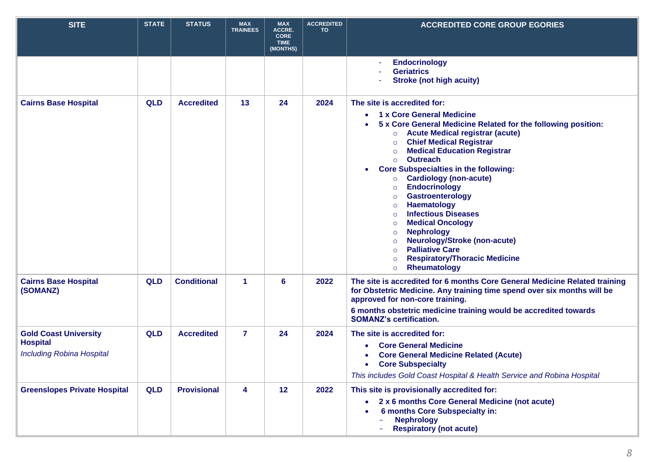| <b>SITE</b>                                                                         | <b>STATE</b> | <b>STATUS</b>      | <b>MAX</b><br><b>TRAINEES</b> | <b>MAX</b><br>ACCRE.<br><b>CORE</b><br><b>TIME</b><br>(MONTHS) | <b>ACCREDITED</b><br>TO | <b>ACCREDITED CORE GROUP EGORIES</b>                                                                                                                                                                                                                                                                                                                                                                                                                                                                                                                                                                                                                                                                                                                                                          |
|-------------------------------------------------------------------------------------|--------------|--------------------|-------------------------------|----------------------------------------------------------------|-------------------------|-----------------------------------------------------------------------------------------------------------------------------------------------------------------------------------------------------------------------------------------------------------------------------------------------------------------------------------------------------------------------------------------------------------------------------------------------------------------------------------------------------------------------------------------------------------------------------------------------------------------------------------------------------------------------------------------------------------------------------------------------------------------------------------------------|
|                                                                                     |              |                    |                               |                                                                |                         | <b>Endocrinology</b><br><b>Geriatrics</b><br><b>Stroke (not high acuity)</b>                                                                                                                                                                                                                                                                                                                                                                                                                                                                                                                                                                                                                                                                                                                  |
| <b>Cairns Base Hospital</b>                                                         | <b>QLD</b>   | <b>Accredited</b>  | 13                            | 24                                                             | 2024                    | The site is accredited for:<br>1 x Core General Medicine<br>5 x Core General Medicine Related for the following position:<br><b>Acute Medical registrar (acute)</b><br>$\circ$<br><b>Chief Medical Registrar</b><br>$\circ$<br><b>Medical Education Registrar</b><br>$\circ$<br><b>Outreach</b><br>$\circ$<br><b>Core Subspecialties in the following:</b><br><b>Cardiology (non-acute)</b><br>$\circ$<br><b>Endocrinology</b><br>$\circ$<br>Gastroenterology<br>$\circ$<br><b>Haematology</b><br>$\circ$<br><b>Infectious Diseases</b><br>$\circ$<br><b>Medical Oncology</b><br>$\circ$<br><b>Nephrology</b><br>$\circ$<br><b>Neurology/Stroke (non-acute)</b><br>$\circ$<br><b>Palliative Care</b><br>$\circ$<br><b>Respiratory/Thoracic Medicine</b><br>$\circ$<br>Rheumatology<br>$\circ$ |
| <b>Cairns Base Hospital</b><br>(SOMANZ)                                             | <b>QLD</b>   | <b>Conditional</b> | $\blacktriangleleft$          | 6                                                              | 2022                    | The site is accredited for 6 months Core General Medicine Related training<br>for Obstetric Medicine. Any training time spend over six months will be<br>approved for non-core training.<br>6 months obstetric medicine training would be accredited towards<br><b>SOMANZ's certification.</b>                                                                                                                                                                                                                                                                                                                                                                                                                                                                                                |
| <b>Gold Coast University</b><br><b>Hospital</b><br><b>Including Robina Hospital</b> | <b>QLD</b>   | <b>Accredited</b>  | $\overline{7}$                | 24                                                             | 2024                    | The site is accredited for:<br><b>Core General Medicine</b><br><b>Core General Medicine Related (Acute)</b><br><b>Core Subspecialty</b><br>This includes Gold Coast Hospital & Health Service and Robina Hospital                                                                                                                                                                                                                                                                                                                                                                                                                                                                                                                                                                             |
| <b>Greenslopes Private Hospital</b>                                                 | QLD          | <b>Provisional</b> | 4                             | 12                                                             | 2022                    | This site is provisionally accredited for:<br>2 x 6 months Core General Medicine (not acute)<br><b>6 months Core Subspecialty in:</b><br><b>Nephrology</b><br><b>Respiratory (not acute)</b>                                                                                                                                                                                                                                                                                                                                                                                                                                                                                                                                                                                                  |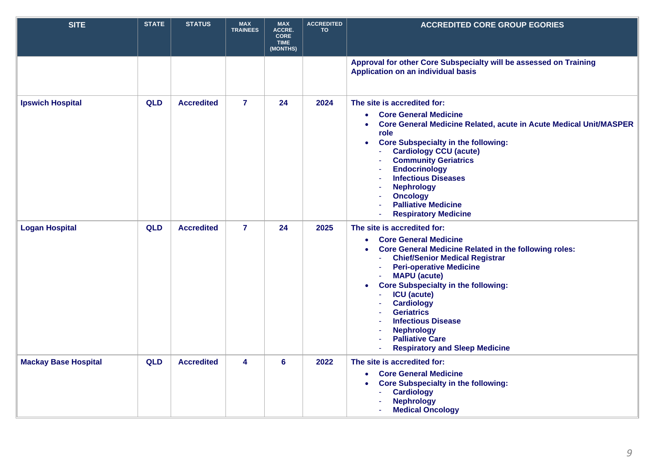| <b>SITE</b>                 | <b>STATE</b> | <b>STATUS</b>     | <b>MAX</b><br><b>TRAINEES</b> | <b>MAX</b><br>ACCRE.<br><b>CORE</b><br><b>TIME</b><br>(MONTHS) | <b>ACCREDITED</b><br>TO | <b>ACCREDITED CORE GROUP EGORIES</b>                                                                                                                                                                                                                                                                                                                                                                                                                                                       |
|-----------------------------|--------------|-------------------|-------------------------------|----------------------------------------------------------------|-------------------------|--------------------------------------------------------------------------------------------------------------------------------------------------------------------------------------------------------------------------------------------------------------------------------------------------------------------------------------------------------------------------------------------------------------------------------------------------------------------------------------------|
|                             |              |                   |                               |                                                                |                         | Approval for other Core Subspecialty will be assessed on Training<br>Application on an individual basis                                                                                                                                                                                                                                                                                                                                                                                    |
| <b>Ipswich Hospital</b>     | <b>QLD</b>   | <b>Accredited</b> | $\overline{7}$                | 24                                                             | 2024                    | The site is accredited for:<br><b>Core General Medicine</b><br>Core General Medicine Related, acute in Acute Medical Unit/MASPER<br>role<br><b>Core Subspecialty in the following:</b><br>$\bullet$<br><b>Cardiology CCU (acute)</b><br><b>Community Geriatrics</b><br><b>Endocrinology</b><br><b>Infectious Diseases</b><br><b>Nephrology</b><br><b>Oncology</b><br><b>Palliative Medicine</b><br><b>Respiratory Medicine</b>                                                             |
| <b>Logan Hospital</b>       | <b>QLD</b>   | <b>Accredited</b> | $\overline{7}$                | 24                                                             | 2025                    | The site is accredited for:<br><b>Core General Medicine</b><br>$\bullet$<br><b>Core General Medicine Related in the following roles:</b><br><b>Chief/Senior Medical Registrar</b><br><b>Peri-operative Medicine</b><br><b>MAPU</b> (acute)<br><b>Core Subspecialty in the following:</b><br>$\bullet$<br><b>ICU</b> (acute)<br><b>Cardiology</b><br><b>Geriatrics</b><br><b>Infectious Disease</b><br><b>Nephrology</b><br><b>Palliative Care</b><br><b>Respiratory and Sleep Medicine</b> |
| <b>Mackay Base Hospital</b> | <b>QLD</b>   | <b>Accredited</b> | 4                             | $6\phantom{a}$                                                 | 2022                    | The site is accredited for:<br><b>Core General Medicine</b><br><b>Core Subspecialty in the following:</b><br>$\bullet$<br><b>Cardiology</b><br>ä,<br><b>Nephrology</b><br><b>Medical Oncology</b>                                                                                                                                                                                                                                                                                          |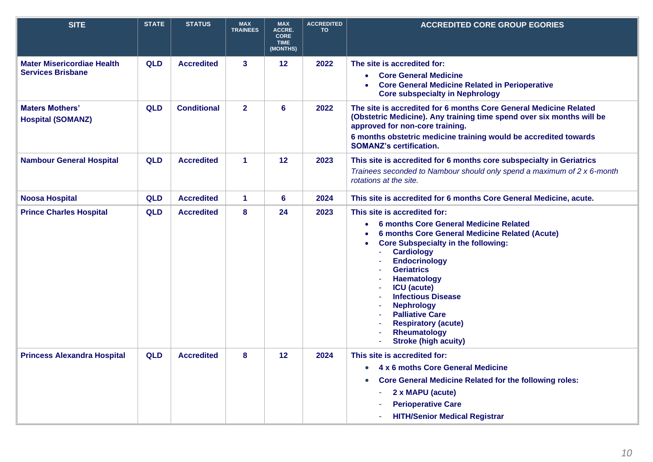| <b>SITE</b>                                                   | <b>STATE</b> | <b>STATUS</b>      | <b>MAX</b><br><b>TRAINEES</b> | <b>MAX</b><br>ACCRE.<br><b>CORE</b><br><b>TIME</b> | <b>ACCREDITED</b><br><b>TO</b> | <b>ACCREDITED CORE GROUP EGORIES</b>                                                                                                                                                                                                                                                                                                                                                                                                                                           |
|---------------------------------------------------------------|--------------|--------------------|-------------------------------|----------------------------------------------------|--------------------------------|--------------------------------------------------------------------------------------------------------------------------------------------------------------------------------------------------------------------------------------------------------------------------------------------------------------------------------------------------------------------------------------------------------------------------------------------------------------------------------|
|                                                               |              |                    |                               | (MONTHS)                                           |                                |                                                                                                                                                                                                                                                                                                                                                                                                                                                                                |
| <b>Mater Misericordiae Health</b><br><b>Services Brisbane</b> | <b>QLD</b>   | <b>Accredited</b>  | $\mathbf{3}$                  | 12                                                 | 2022                           | The site is accredited for:<br>• Core General Medicine<br><b>Core General Medicine Related in Perioperative</b><br><b>Core subspecialty in Nephrology</b>                                                                                                                                                                                                                                                                                                                      |
| <b>Maters Mothers'</b><br><b>Hospital (SOMANZ)</b>            | <b>QLD</b>   | <b>Conditional</b> | $\overline{2}$                | 6                                                  | 2022                           | The site is accredited for 6 months Core General Medicine Related<br>(Obstetric Medicine). Any training time spend over six months will be<br>approved for non-core training.<br>6 months obstetric medicine training would be accredited towards<br><b>SOMANZ's certification.</b>                                                                                                                                                                                            |
| <b>Nambour General Hospital</b>                               | QLD          | <b>Accredited</b>  | $\overline{1}$                | 12                                                 | 2023                           | This site is accredited for 6 months core subspecialty in Geriatrics<br>Trainees seconded to Nambour should only spend a maximum of 2 x 6-month<br>rotations at the site.                                                                                                                                                                                                                                                                                                      |
| <b>Noosa Hospital</b>                                         | <b>QLD</b>   | <b>Accredited</b>  | 1                             | $6\phantom{a}$                                     | 2024                           | This site is accredited for 6 months Core General Medicine, acute.                                                                                                                                                                                                                                                                                                                                                                                                             |
| <b>Prince Charles Hospital</b>                                | <b>QLD</b>   | <b>Accredited</b>  | 8                             | 24                                                 | 2023                           | This site is accredited for:<br><b>6 months Core General Medicine Related</b><br>$\bullet$<br>6 months Core General Medicine Related (Acute)<br><b>Core Subspecialty in the following:</b><br>$\bullet$<br><b>Cardiology</b><br><b>Endocrinology</b><br><b>Geriatrics</b><br><b>Haematology</b><br><b>ICU</b> (acute)<br><b>Infectious Disease</b><br><b>Nephrology</b><br><b>Palliative Care</b><br><b>Respiratory (acute)</b><br>Rheumatology<br><b>Stroke (high acuity)</b> |
| <b>Princess Alexandra Hospital</b>                            | <b>QLD</b>   | <b>Accredited</b>  | 8                             | 12 <sub>2</sub>                                    | 2024                           | This site is accredited for:<br>4 x 6 moths Core General Medicine<br>$\bullet$<br><b>Core General Medicine Related for the following roles:</b><br>$\bullet$<br>2 x MAPU (acute)<br><b>Perioperative Care</b><br><b>HITH/Senior Medical Registrar</b>                                                                                                                                                                                                                          |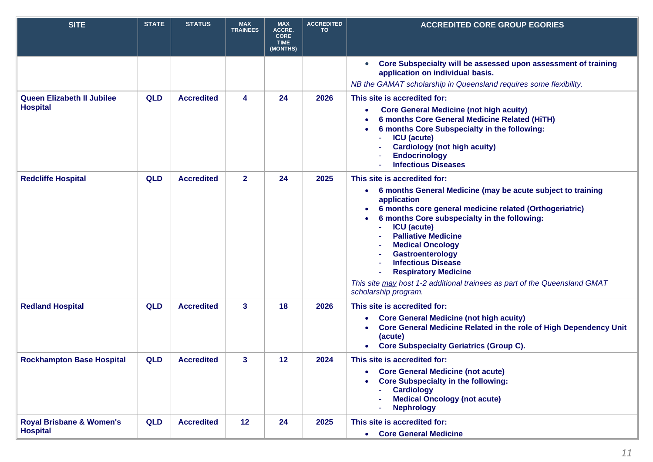| <b>SITE</b>                                            | <b>STATE</b> | <b>STATUS</b>     | <b>MAX</b><br><b>TRAINEES</b> | <b>MAX</b><br><b>ACCRE.</b><br><b>CORE</b> | <b>ACCREDITED</b><br><b>TO</b> | <b>ACCREDITED CORE GROUP EGORIES</b>                                                                                                                                                                                                                                                                                                                                                                                                                                                                          |
|--------------------------------------------------------|--------------|-------------------|-------------------------------|--------------------------------------------|--------------------------------|---------------------------------------------------------------------------------------------------------------------------------------------------------------------------------------------------------------------------------------------------------------------------------------------------------------------------------------------------------------------------------------------------------------------------------------------------------------------------------------------------------------|
|                                                        |              |                   |                               | <b>TIME</b><br>(MONTHS)                    |                                |                                                                                                                                                                                                                                                                                                                                                                                                                                                                                                               |
|                                                        |              |                   |                               |                                            |                                | Core Subspecialty will be assessed upon assessment of training<br>$\bullet$<br>application on individual basis.<br>NB the GAMAT scholarship in Queensland requires some flexibility.                                                                                                                                                                                                                                                                                                                          |
| <b>Queen Elizabeth II Jubilee</b><br><b>Hospital</b>   | <b>QLD</b>   | <b>Accredited</b> | 4                             | 24                                         | 2026                           | This site is accredited for:<br><b>Core General Medicine (not high acuity)</b><br>6 months Core General Medicine Related (HiTH)<br>6 months Core Subspecialty in the following:<br><b>ICU</b> (acute)<br><b>Cardiology (not high acuity)</b><br><b>Endocrinology</b><br><b>Infectious Diseases</b>                                                                                                                                                                                                            |
| <b>Redcliffe Hospital</b>                              | <b>QLD</b>   | <b>Accredited</b> | $\mathbf{2}$                  | 24                                         | 2025                           | This site is accredited for:<br>6 months General Medicine (may be acute subject to training<br>$\bullet$<br>application<br>6 months core general medicine related (Orthogeriatric)<br>6 months Core subspecialty in the following:<br><b>ICU</b> (acute)<br><b>Palliative Medicine</b><br><b>Medical Oncology</b><br><b>Gastroenterology</b><br><b>Infectious Disease</b><br><b>Respiratory Medicine</b><br>This site may host 1-2 additional trainees as part of the Queensland GMAT<br>scholarship program. |
| <b>Redland Hospital</b>                                | <b>QLD</b>   | <b>Accredited</b> | 3                             | 18                                         | 2026                           | This site is accredited for:<br><b>Core General Medicine (not high acuity)</b><br>Core General Medicine Related in the role of High Dependency Unit<br>(acute)<br><b>Core Subspecialty Geriatrics (Group C).</b>                                                                                                                                                                                                                                                                                              |
| <b>Rockhampton Base Hospital</b>                       | <b>QLD</b>   | <b>Accredited</b> | 3                             | 12                                         | 2024                           | This site is accredited for:<br><b>Core General Medicine (not acute)</b><br><b>Core Subspecialty in the following:</b><br><b>Cardiology</b><br><b>Medical Oncology (not acute)</b><br><b>Nephrology</b>                                                                                                                                                                                                                                                                                                       |
| <b>Royal Brisbane &amp; Women's</b><br><b>Hospital</b> | <b>QLD</b>   | <b>Accredited</b> | 12                            | 24                                         | 2025                           | This site is accredited for:<br>• Core General Medicine                                                                                                                                                                                                                                                                                                                                                                                                                                                       |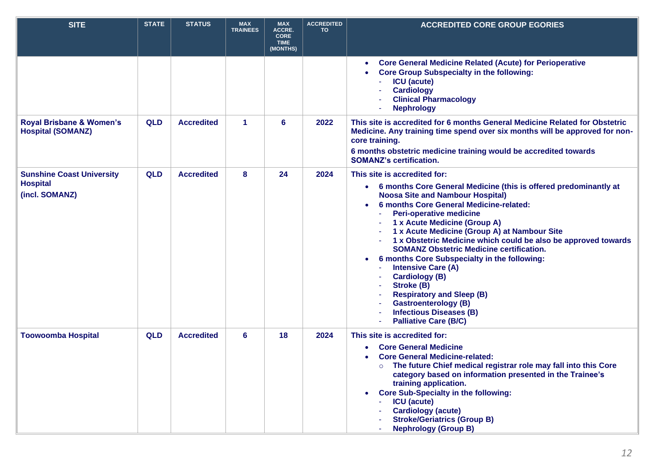| <b>SITE</b>                                                           | <b>STATE</b> | <b>STATUS</b>     | <b>MAX</b><br><b>TRAINEES</b> | <b>MAX</b><br>ACCRE.<br><b>CORE</b><br><b>TIME</b><br>(MONTHS) | <b>ACCREDITED</b><br>TO | <b>ACCREDITED CORE GROUP EGORIES</b>                                                                                                                                                                                                                                                                                                                                                                                                                                                                                                                                                                                                                                                                             |
|-----------------------------------------------------------------------|--------------|-------------------|-------------------------------|----------------------------------------------------------------|-------------------------|------------------------------------------------------------------------------------------------------------------------------------------------------------------------------------------------------------------------------------------------------------------------------------------------------------------------------------------------------------------------------------------------------------------------------------------------------------------------------------------------------------------------------------------------------------------------------------------------------------------------------------------------------------------------------------------------------------------|
|                                                                       |              |                   |                               |                                                                |                         | <b>Core General Medicine Related (Acute) for Perioperative</b><br><b>Core Group Subspecialty in the following:</b><br><b>ICU</b> (acute)<br><b>Cardiology</b><br><b>Clinical Pharmacology</b><br><b>Nephrology</b>                                                                                                                                                                                                                                                                                                                                                                                                                                                                                               |
| <b>Royal Brisbane &amp; Women's</b><br><b>Hospital (SOMANZ)</b>       | <b>QLD</b>   | <b>Accredited</b> | $\blacktriangleleft$          | 6                                                              | 2022                    | This site is accredited for 6 months General Medicine Related for Obstetric<br>Medicine. Any training time spend over six months will be approved for non-<br>core training.<br>6 months obstetric medicine training would be accredited towards<br><b>SOMANZ's certification.</b>                                                                                                                                                                                                                                                                                                                                                                                                                               |
| <b>Sunshine Coast University</b><br><b>Hospital</b><br>(incl. SOMANZ) | <b>QLD</b>   | <b>Accredited</b> | 8                             | 24                                                             | 2024                    | This site is accredited for:<br>6 months Core General Medicine (this is offered predominantly at<br>$\bullet$<br><b>Noosa Site and Nambour Hospital)</b><br>6 months Core General Medicine-related:<br><b>Peri-operative medicine</b><br>1 x Acute Medicine (Group A)<br>1 x Acute Medicine (Group A) at Nambour Site<br>1 x Obstetric Medicine which could be also be approved towards<br><b>SOMANZ Obstetric Medicine certification.</b><br>6 months Core Subspecialty in the following:<br>$\bullet$<br><b>Intensive Care (A)</b><br><b>Cardiology (B)</b><br>Stroke (B)<br><b>Respiratory and Sleep (B)</b><br><b>Gastroenterology (B)</b><br><b>Infectious Diseases (B)</b><br><b>Palliative Care (B/C)</b> |
| <b>Toowoomba Hospital</b>                                             | <b>QLD</b>   | <b>Accredited</b> | 6                             | 18                                                             | 2024                    | This site is accredited for:<br><b>Core General Medicine</b><br><b>Core General Medicine-related:</b><br>The future Chief medical registrar role may fall into this Core<br>category based on information presented in the Trainee's<br>training application.<br><b>Core Sub-Specialty in the following:</b><br><b>ICU</b> (acute)<br><b>Cardiology (acute)</b><br><b>Stroke/Geriatrics (Group B)</b><br><b>Nephrology (Group B)</b>                                                                                                                                                                                                                                                                             |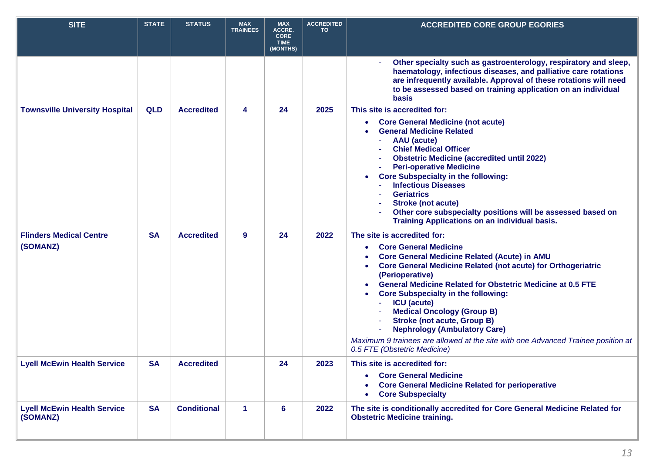| <b>SITE</b>                                    | <b>STATE</b> | <b>STATUS</b>      | <b>MAX</b><br><b>TRAINEES</b> | <b>MAX</b><br><b>ACCRE.</b><br><b>CORE</b><br><b>TIME</b><br>(MONTHS) | <b>ACCREDITED</b><br><b>TO</b> | <b>ACCREDITED CORE GROUP EGORIES</b>                                                                                                                                                                                                                                                                                                                                                                                                                                                                                                                                                        |
|------------------------------------------------|--------------|--------------------|-------------------------------|-----------------------------------------------------------------------|--------------------------------|---------------------------------------------------------------------------------------------------------------------------------------------------------------------------------------------------------------------------------------------------------------------------------------------------------------------------------------------------------------------------------------------------------------------------------------------------------------------------------------------------------------------------------------------------------------------------------------------|
|                                                |              |                    |                               |                                                                       |                                | Other specialty such as gastroenterology, respiratory and sleep,<br>haematology, infectious diseases, and palliative care rotations<br>are infrequently available. Approval of these rotations will need<br>to be assessed based on training application on an individual<br><b>basis</b>                                                                                                                                                                                                                                                                                                   |
| <b>Townsville University Hospital</b>          | <b>QLD</b>   | <b>Accredited</b>  | 4                             | 24                                                                    | 2025                           | This site is accredited for:<br><b>Core General Medicine (not acute)</b><br><b>General Medicine Related</b><br><b>AAU</b> (acute)<br><b>Chief Medical Officer</b><br><b>Obstetric Medicine (accredited until 2022)</b><br><b>Peri-operative Medicine</b><br><b>Core Subspecialty in the following:</b><br><b>Infectious Diseases</b><br><b>Geriatrics</b><br><b>Stroke (not acute)</b><br>Other core subspecialty positions will be assessed based on<br><b>Training Applications on an individual basis.</b>                                                                               |
| <b>Flinders Medical Centre</b><br>(SOMANZ)     | <b>SA</b>    | <b>Accredited</b>  | 9                             | 24                                                                    | 2022                           | The site is accredited for:<br><b>Core General Medicine</b><br><b>Core General Medicine Related (Acute) in AMU</b><br><b>Core General Medicine Related (not acute) for Orthogeriatric</b><br>(Perioperative)<br><b>General Medicine Related for Obstetric Medicine at 0.5 FTE</b><br><b>Core Subspecialty in the following:</b><br><b>ICU</b> (acute)<br><b>Medical Oncology (Group B)</b><br><b>Stroke (not acute, Group B)</b><br><b>Nephrology (Ambulatory Care)</b><br>Maximum 9 trainees are allowed at the site with one Advanced Trainee position at<br>0.5 FTE (Obstetric Medicine) |
| <b>Lyell McEwin Health Service</b>             | <b>SA</b>    | <b>Accredited</b>  |                               | 24                                                                    | 2023                           | This site is accredited for:<br><b>Core General Medicine</b><br><b>Core General Medicine Related for perioperative</b><br><b>Core Subspecialty</b>                                                                                                                                                                                                                                                                                                                                                                                                                                          |
| <b>Lyell McEwin Health Service</b><br>(SOMANZ) | <b>SA</b>    | <b>Conditional</b> | $\blacktriangleleft$          | 6                                                                     | 2022                           | The site is conditionally accredited for Core General Medicine Related for<br><b>Obstetric Medicine training.</b>                                                                                                                                                                                                                                                                                                                                                                                                                                                                           |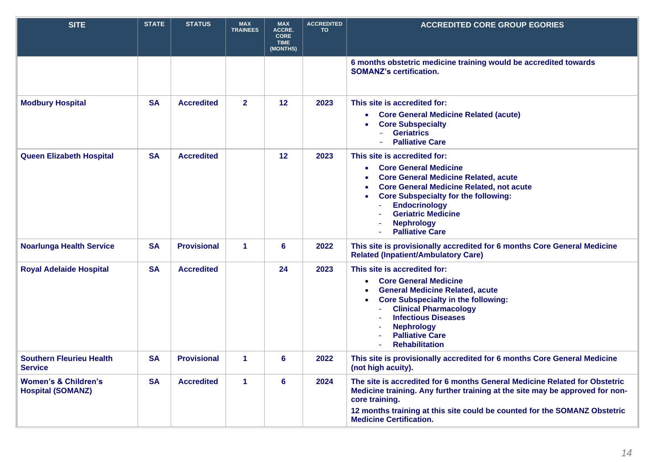| <b>SITE</b>                                                 | <b>STATE</b> | <b>STATUS</b>      | <b>MAX</b><br><b>TRAINEES</b> | <b>MAX</b><br>ACCRE.<br><b>CORE</b><br><b>TIME</b><br>(MONTHS) | <b>ACCREDITED</b><br><b>TO</b> | <b>ACCREDITED CORE GROUP EGORIES</b>                                                                                                                                                                                                                                                                              |
|-------------------------------------------------------------|--------------|--------------------|-------------------------------|----------------------------------------------------------------|--------------------------------|-------------------------------------------------------------------------------------------------------------------------------------------------------------------------------------------------------------------------------------------------------------------------------------------------------------------|
|                                                             |              |                    |                               |                                                                |                                | 6 months obstetric medicine training would be accredited towards<br><b>SOMANZ's certification.</b>                                                                                                                                                                                                                |
| <b>Modbury Hospital</b>                                     | <b>SA</b>    | <b>Accredited</b>  | $\mathbf{2}$                  | 12                                                             | 2023                           | This site is accredited for:<br><b>Core General Medicine Related (acute)</b><br><b>Core Subspecialty</b><br><b>Geriatrics</b><br><b>Palliative Care</b>                                                                                                                                                           |
| <b>Queen Elizabeth Hospital</b>                             | <b>SA</b>    | <b>Accredited</b>  |                               | 12                                                             | 2023                           | This site is accredited for:<br><b>Core General Medicine</b><br><b>Core General Medicine Related, acute</b><br><b>Core General Medicine Related, not acute</b><br><b>Core Subspecialty for the following:</b><br><b>Endocrinology</b><br><b>Geriatric Medicine</b><br><b>Nephrology</b><br><b>Palliative Care</b> |
| <b>Noarlunga Health Service</b>                             | <b>SA</b>    | <b>Provisional</b> | $\blacktriangleleft$          | 6                                                              | 2022                           | This site is provisionally accredited for 6 months Core General Medicine<br><b>Related (Inpatient/Ambulatory Care)</b>                                                                                                                                                                                            |
| <b>Royal Adelaide Hospital</b>                              | <b>SA</b>    | <b>Accredited</b>  |                               | 24                                                             | 2023                           | This site is accredited for:<br><b>Core General Medicine</b><br>$\bullet$<br><b>General Medicine Related, acute</b><br><b>Core Subspecialty in the following:</b><br>٠<br><b>Clinical Pharmacology</b><br><b>Infectious Diseases</b><br><b>Nephrology</b><br><b>Palliative Care</b><br><b>Rehabilitation</b>      |
| <b>Southern Fleurieu Health</b><br><b>Service</b>           | <b>SA</b>    | <b>Provisional</b> | 1                             | 6                                                              | 2022                           | This site is provisionally accredited for 6 months Core General Medicine<br>(not high acuity).                                                                                                                                                                                                                    |
| <b>Women's &amp; Children's</b><br><b>Hospital (SOMANZ)</b> | <b>SA</b>    | <b>Accredited</b>  | $\mathbf{1}$                  | 6                                                              | 2024                           | The site is accredited for 6 months General Medicine Related for Obstetric<br>Medicine training. Any further training at the site may be approved for non-<br>core training.<br>12 months training at this site could be counted for the SOMANZ Obstetric<br><b>Medicine Certification.</b>                       |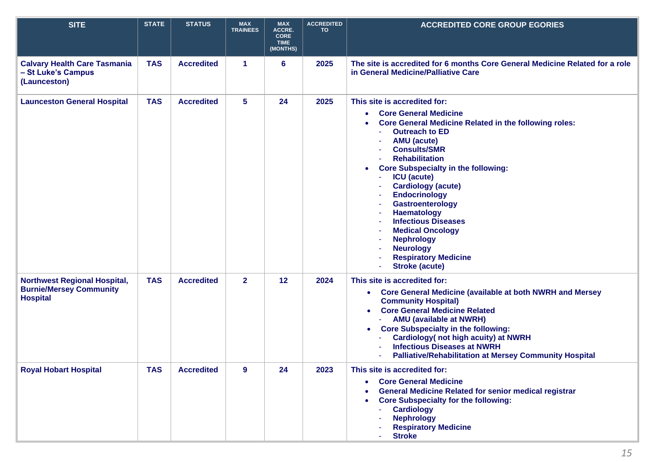| <b>SITE</b>                                                                              | <b>STATE</b> | <b>STATUS</b>     | <b>MAX</b><br><b>TRAINEES</b> | <b>MAX</b><br><b>ACCRE.</b><br><b>CORE</b><br><b>TIME</b><br>(MONTHS) | <b>ACCREDITED</b><br><b>TO</b> | <b>ACCREDITED CORE GROUP EGORIES</b>                                                                                                                                                                                                                                                                                                                                                                                                                                                                                                                     |
|------------------------------------------------------------------------------------------|--------------|-------------------|-------------------------------|-----------------------------------------------------------------------|--------------------------------|----------------------------------------------------------------------------------------------------------------------------------------------------------------------------------------------------------------------------------------------------------------------------------------------------------------------------------------------------------------------------------------------------------------------------------------------------------------------------------------------------------------------------------------------------------|
| <b>Calvary Health Care Tasmania</b><br>- St Luke's Campus<br>(Launceston)                | <b>TAS</b>   | <b>Accredited</b> | 1                             | $6\phantom{a}$                                                        | 2025                           | The site is accredited for 6 months Core General Medicine Related for a role<br>in General Medicine/Palliative Care                                                                                                                                                                                                                                                                                                                                                                                                                                      |
| <b>Launceston General Hospital</b>                                                       | <b>TAS</b>   | <b>Accredited</b> | 5                             | 24                                                                    | 2025                           | This site is accredited for:<br><b>Core General Medicine</b><br><b>Core General Medicine Related in the following roles:</b><br><b>Outreach to ED</b><br><b>AMU</b> (acute)<br><b>Consults/SMR</b><br><b>Rehabilitation</b><br><b>Core Subspecialty in the following:</b><br><b>ICU</b> (acute)<br><b>Cardiology (acute)</b><br><b>Endocrinology</b><br>Gastroenterology<br><b>Haematology</b><br><b>Infectious Diseases</b><br><b>Medical Oncology</b><br><b>Nephrology</b><br><b>Neurology</b><br><b>Respiratory Medicine</b><br><b>Stroke (acute)</b> |
| <b>Northwest Regional Hospital,</b><br><b>Burnie/Mersey Community</b><br><b>Hospital</b> | <b>TAS</b>   | <b>Accredited</b> | $\mathbf{2}$                  | 12                                                                    | 2024                           | This site is accredited for:<br>• Core General Medicine (available at both NWRH and Mersey<br><b>Community Hospital)</b><br><b>Core General Medicine Related</b><br><b>AMU (available at NWRH)</b><br><b>Core Subspecialty in the following:</b><br>$\bullet$<br>Cardiology(not high acuity) at NWRH<br><b>Infectious Diseases at NWRH</b><br><b>Palliative/Rehabilitation at Mersey Community Hospital</b>                                                                                                                                              |
| <b>Royal Hobart Hospital</b>                                                             | <b>TAS</b>   | <b>Accredited</b> | 9                             | 24                                                                    | 2023                           | This site is accredited for:<br><b>Core General Medicine</b><br><b>General Medicine Related for senior medical registrar</b><br><b>Core Subspecialty for the following:</b><br><b>Cardiology</b><br><b>Nephrology</b><br><b>Respiratory Medicine</b><br><b>Stroke</b>                                                                                                                                                                                                                                                                                    |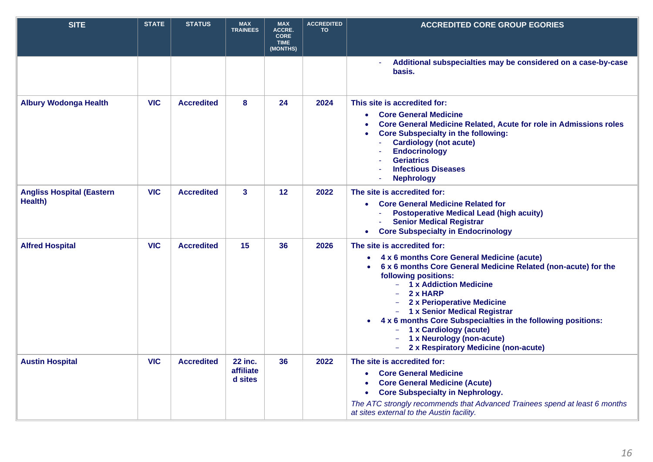| <b>SITE</b>                                 | <b>STATE</b> | <b>STATUS</b>     | <b>MAX</b><br><b>TRAINEES</b>          | <b>MAX</b><br>ACCRE.<br><b>CORE</b><br><b>TIME</b><br>(MONTHS) | <b>ACCREDITED</b><br><b>TO</b> | <b>ACCREDITED CORE GROUP EGORIES</b>                                                                                                                                                                                                                                                                                                                                                                                                                       |
|---------------------------------------------|--------------|-------------------|----------------------------------------|----------------------------------------------------------------|--------------------------------|------------------------------------------------------------------------------------------------------------------------------------------------------------------------------------------------------------------------------------------------------------------------------------------------------------------------------------------------------------------------------------------------------------------------------------------------------------|
|                                             |              |                   |                                        |                                                                |                                | Additional subspecialties may be considered on a case-by-case<br>basis.                                                                                                                                                                                                                                                                                                                                                                                    |
| <b>Albury Wodonga Health</b>                | <b>VIC</b>   | <b>Accredited</b> | 8                                      | 24                                                             | 2024                           | This site is accredited for:<br><b>Core General Medicine</b><br>Core General Medicine Related, Acute for role in Admissions roles<br><b>Core Subspecialty in the following:</b><br>$\bullet$<br><b>Cardiology (not acute)</b><br><b>Endocrinology</b><br><b>Geriatrics</b><br><b>Infectious Diseases</b><br><b>Nephrology</b>                                                                                                                              |
| <b>Angliss Hospital (Eastern</b><br>Health) | <b>VIC</b>   | <b>Accredited</b> | 3                                      | 12                                                             | 2022                           | The site is accredited for:<br><b>Core General Medicine Related for</b><br>$\bullet$<br><b>Postoperative Medical Lead (high acuity)</b><br><b>Senior Medical Registrar</b><br><b>Core Subspecialty in Endocrinology</b><br>$\bullet$                                                                                                                                                                                                                       |
| <b>Alfred Hospital</b>                      | <b>VIC</b>   | <b>Accredited</b> | 15                                     | 36                                                             | 2026                           | The site is accredited for:<br>4 x 6 months Core General Medicine (acute)<br>$\bullet$<br>6 x 6 months Core General Medicine Related (non-acute) for the<br>following positions:<br><b>1 x Addiction Medicine</b><br>2 x HARP<br>2 x Perioperative Medicine<br>1 x Senior Medical Registrar<br>4 x 6 months Core Subspecialties in the following positions:<br>1 x Cardiology (acute)<br>1 x Neurology (non-acute)<br>2 x Respiratory Medicine (non-acute) |
| <b>Austin Hospital</b>                      | <b>VIC</b>   | <b>Accredited</b> | <b>22 inc.</b><br>affiliate<br>d sites | 36                                                             | 2022                           | The site is accredited for:<br><b>Core General Medicine</b><br><b>Core General Medicine (Acute)</b><br><b>Core Subspecialty in Nephrology.</b><br>$\bullet$<br>The ATC strongly recommends that Advanced Trainees spend at least 6 months<br>at sites external to the Austin facility.                                                                                                                                                                     |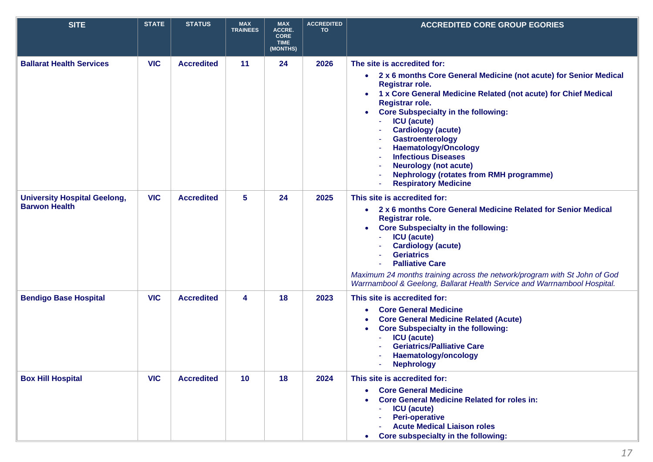| <b>SITE</b>                                                 | <b>STATE</b> | <b>STATUS</b>     | <b>MAX</b><br><b>TRAINEES</b> | <b>MAX</b><br><b>ACCRE.</b><br><b>CORE</b><br><b>TIME</b><br>(MONTHS) | <b>ACCREDITED</b><br><b>TO</b> | <b>ACCREDITED CORE GROUP EGORIES</b>                                                                                                                                                                                                                                                                                                                                                                                                                                                                                      |
|-------------------------------------------------------------|--------------|-------------------|-------------------------------|-----------------------------------------------------------------------|--------------------------------|---------------------------------------------------------------------------------------------------------------------------------------------------------------------------------------------------------------------------------------------------------------------------------------------------------------------------------------------------------------------------------------------------------------------------------------------------------------------------------------------------------------------------|
| <b>Ballarat Health Services</b>                             | <b>VIC</b>   | <b>Accredited</b> | 11                            | 24                                                                    | 2026                           | The site is accredited for:<br>2 x 6 months Core General Medicine (not acute) for Senior Medical<br>$\bullet$<br>Registrar role.<br>1 x Core General Medicine Related (not acute) for Chief Medical<br>Registrar role.<br><b>Core Subspecialty in the following:</b><br><b>ICU</b> (acute)<br><b>Cardiology (acute)</b><br>Gastroenterology<br><b>Haematology/Oncology</b><br><b>Infectious Diseases</b><br><b>Neurology (not acute)</b><br><b>Nephrology (rotates from RMH programme)</b><br><b>Respiratory Medicine</b> |
| <b>University Hospital Geelong,</b><br><b>Barwon Health</b> | <b>VIC</b>   | <b>Accredited</b> | $5\phantom{.0}$               | 24                                                                    | 2025                           | This site is accredited for:<br>2 x 6 months Core General Medicine Related for Senior Medical<br>$\bullet$<br>Registrar role.<br><b>Core Subspecialty in the following:</b><br>$\bullet$<br><b>ICU</b> (acute)<br><b>Cardiology (acute)</b><br><b>Geriatrics</b><br><b>Palliative Care</b><br>Maximum 24 months training across the network/program with St John of God<br>Warrnambool & Geelong, Ballarat Health Service and Warrnambool Hospital.                                                                       |
| <b>Bendigo Base Hospital</b>                                | <b>VIC</b>   | <b>Accredited</b> | 4                             | 18                                                                    | 2023                           | This site is accredited for:<br><b>Core General Medicine</b><br><b>Core General Medicine Related (Acute)</b><br><b>Core Subspecialty in the following:</b><br><b>ICU</b> (acute)<br><b>Geriatrics/Palliative Care</b><br>Haematology/oncology<br><b>Nephrology</b>                                                                                                                                                                                                                                                        |
| <b>Box Hill Hospital</b>                                    | <b>VIC</b>   | <b>Accredited</b> | 10                            | 18                                                                    | 2024                           | This site is accredited for:<br><b>Core General Medicine</b><br><b>Core General Medicine Related for roles in:</b><br><b>ICU</b> (acute)<br><b>Peri-operative</b><br><b>Acute Medical Liaison roles</b><br>Core subspecialty in the following:                                                                                                                                                                                                                                                                            |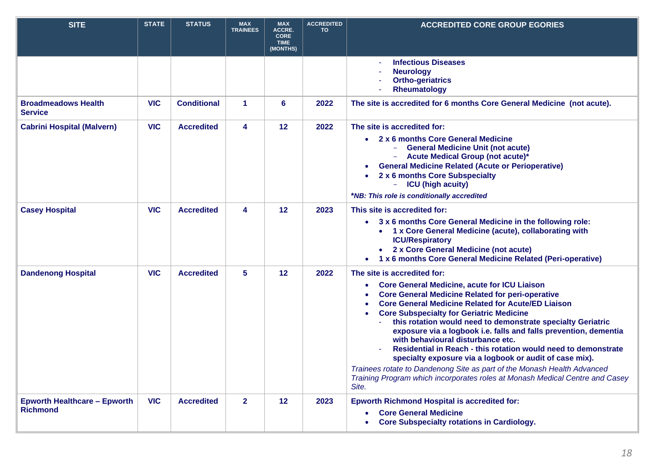| <b>SITE</b>                                            | <b>STATE</b> | <b>STATUS</b>      | <b>MAX</b><br><b>TRAINEES</b> | <b>MAX</b><br>ACCRE.<br><b>CORE</b><br><b>TIME</b><br>(MONTHS) | <b>ACCREDITED</b><br><b>TO</b> | <b>ACCREDITED CORE GROUP EGORIES</b>                                                                                                                                                                                                                                                                                                                                                                                                                                                                                                                                                                                                                                                                                                                             |
|--------------------------------------------------------|--------------|--------------------|-------------------------------|----------------------------------------------------------------|--------------------------------|------------------------------------------------------------------------------------------------------------------------------------------------------------------------------------------------------------------------------------------------------------------------------------------------------------------------------------------------------------------------------------------------------------------------------------------------------------------------------------------------------------------------------------------------------------------------------------------------------------------------------------------------------------------------------------------------------------------------------------------------------------------|
|                                                        |              |                    |                               |                                                                |                                | <b>Infectious Diseases</b><br><b>Neurology</b><br><b>Ortho-geriatrics</b><br>Rheumatology                                                                                                                                                                                                                                                                                                                                                                                                                                                                                                                                                                                                                                                                        |
| <b>Broadmeadows Health</b><br><b>Service</b>           | <b>VIC</b>   | <b>Conditional</b> | 1                             | 6                                                              | 2022                           | The site is accredited for 6 months Core General Medicine (not acute).                                                                                                                                                                                                                                                                                                                                                                                                                                                                                                                                                                                                                                                                                           |
| <b>Cabrini Hospital (Malvern)</b>                      | <b>VIC</b>   | <b>Accredited</b>  | 4                             | 12                                                             | 2022                           | The site is accredited for:<br>2 x 6 months Core General Medicine<br><b>General Medicine Unit (not acute)</b><br><b>Acute Medical Group (not acute)*</b><br><b>General Medicine Related (Acute or Perioperative)</b><br>2 x 6 months Core Subspecialty<br>$\bullet$<br><b>ICU</b> (high acuity)<br>$\equiv$<br>*NB: This role is conditionally accredited                                                                                                                                                                                                                                                                                                                                                                                                        |
| <b>Casey Hospital</b>                                  | <b>VIC</b>   | <b>Accredited</b>  | 4                             | 12                                                             | 2023                           | This site is accredited for:<br>3 x 6 months Core General Medicine in the following role:<br>$\bullet$<br>1 x Core General Medicine (acute), collaborating with<br><b>ICU/Respiratory</b><br>2 x Core General Medicine (not acute)<br>1 x 6 months Core General Medicine Related (Peri-operative)<br>$\bullet$                                                                                                                                                                                                                                                                                                                                                                                                                                                   |
| <b>Dandenong Hospital</b>                              | <b>VIC</b>   | <b>Accredited</b>  | $5\phantom{.0}$               | 12                                                             | 2022                           | The site is accredited for:<br><b>Core General Medicine, acute for ICU Liaison</b><br>$\bullet$<br><b>Core General Medicine Related for peri-operative</b><br><b>Core General Medicine Related for Acute/ED Liaison</b><br><b>Core Subspecialty for Geriatric Medicine</b><br>$\bullet$<br>this rotation would need to demonstrate specialty Geriatric<br>exposure via a logbook i.e. falls and falls prevention, dementia<br>with behavioural disturbance etc.<br>Residential in Reach - this rotation would need to demonstrate<br>specialty exposure via a logbook or audit of case mix).<br>Trainees rotate to Dandenong Site as part of the Monash Health Advanced<br>Training Program which incorporates roles at Monash Medical Centre and Casey<br>Site. |
| <b>Epworth Healthcare - Epworth</b><br><b>Richmond</b> | <b>VIC</b>   | <b>Accredited</b>  | $\mathbf{2}$                  | 12                                                             | 2023                           | <b>Epworth Richmond Hospital is accredited for:</b><br><b>Core General Medicine</b><br><b>Core Subspecialty rotations in Cardiology.</b>                                                                                                                                                                                                                                                                                                                                                                                                                                                                                                                                                                                                                         |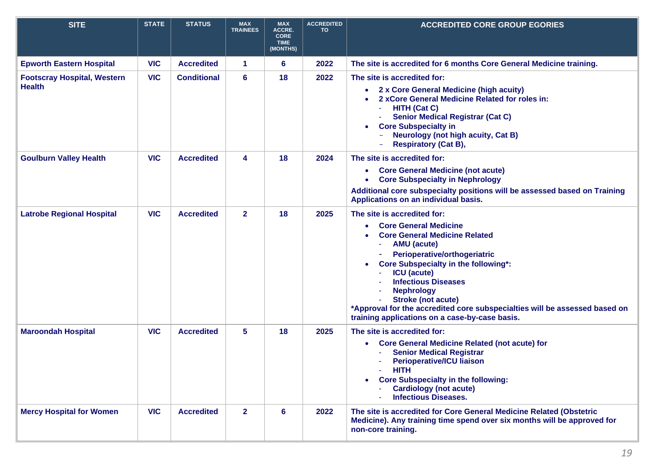| <b>SITE</b>                                         | <b>STATE</b> | <b>STATUS</b>      | <b>MAX</b><br><b>TRAINEES</b> | <b>MAX</b><br><b>ACCRE.</b><br><b>CORE</b><br><b>TIME</b><br>(MONTHS) | <b>ACCREDITED</b><br><b>TO</b> | <b>ACCREDITED CORE GROUP EGORIES</b>                                                                                                                                                                                                                                                                                                                                                                                                           |
|-----------------------------------------------------|--------------|--------------------|-------------------------------|-----------------------------------------------------------------------|--------------------------------|------------------------------------------------------------------------------------------------------------------------------------------------------------------------------------------------------------------------------------------------------------------------------------------------------------------------------------------------------------------------------------------------------------------------------------------------|
| <b>Epworth Eastern Hospital</b>                     | <b>VIC</b>   | <b>Accredited</b>  | $\mathbf{1}$                  | 6                                                                     | 2022                           | The site is accredited for 6 months Core General Medicine training.                                                                                                                                                                                                                                                                                                                                                                            |
| <b>Footscray Hospital, Western</b><br><b>Health</b> | <b>VIC</b>   | <b>Conditional</b> | 6                             | 18                                                                    | 2022                           | The site is accredited for:<br>2 x Core General Medicine (high acuity)<br>$\bullet$<br>2 xCore General Medicine Related for roles in:<br><b>HITH (Cat C)</b><br><b>Senior Medical Registrar (Cat C)</b><br><b>Core Subspecialty in</b><br>$\bullet$<br><b>Neurology (not high acuity, Cat B)</b><br><b>Respiratory (Cat B),</b>                                                                                                                |
| <b>Goulburn Valley Health</b>                       | <b>VIC</b>   | <b>Accredited</b>  | 4                             | 18                                                                    | 2024                           | The site is accredited for:<br><b>Core General Medicine (not acute)</b><br><b>Core Subspecialty in Nephrology</b><br>Additional core subspecialty positions will be assessed based on Training<br>Applications on an individual basis.                                                                                                                                                                                                         |
| <b>Latrobe Regional Hospital</b>                    | <b>VIC</b>   | <b>Accredited</b>  | $\mathbf{2}$                  | 18                                                                    | 2025                           | The site is accredited for:<br><b>Core General Medicine</b><br><b>Core General Medicine Related</b><br><b>AMU</b> (acute)<br>Perioperative/orthogeriatric<br><b>Core Subspecialty in the following*:</b><br><b>ICU</b> (acute)<br><b>Infectious Diseases</b><br><b>Nephrology</b><br><b>Stroke (not acute)</b><br>*Approval for the accredited core subspecialties will be assessed based on<br>training applications on a case-by-case basis. |
| <b>Maroondah Hospital</b>                           | <b>VIC</b>   | <b>Accredited</b>  | $5\phantom{.0}$               | 18                                                                    | 2025                           | The site is accredited for:<br><b>Core General Medicine Related (not acute) for</b><br>$\bullet$<br><b>Senior Medical Registrar</b><br><b>Perioperative/ICU liaison</b><br><b>HITH</b><br><b>Core Subspecialty in the following:</b><br><b>Cardiology (not acute)</b><br><b>Infectious Diseases.</b>                                                                                                                                           |
| <b>Mercy Hospital for Women</b>                     | <b>VIC</b>   | <b>Accredited</b>  | $\mathbf{2}$                  | 6                                                                     | 2022                           | The site is accredited for Core General Medicine Related (Obstetric<br>Medicine). Any training time spend over six months will be approved for<br>non-core training.                                                                                                                                                                                                                                                                           |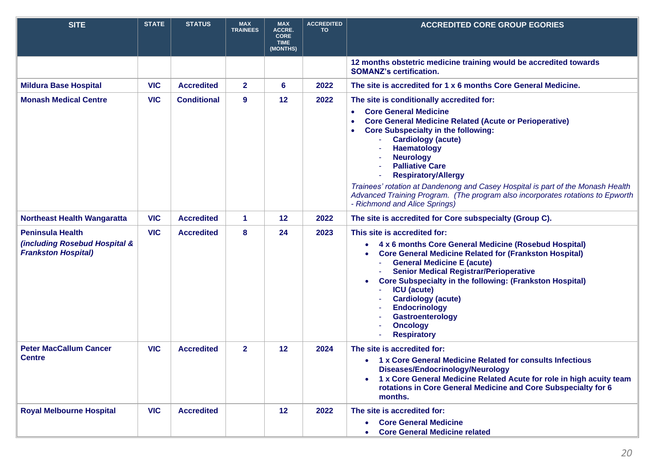| <b>SITE</b>                                                                            | <b>STATE</b> | <b>STATUS</b>      | <b>MAX</b><br><b>TRAINEES</b> | <b>MAX</b><br><b>ACCRE.</b><br><b>CORE</b><br><b>TIME</b><br>(MONTHS) | <b>ACCREDITED</b><br><b>TO</b> | <b>ACCREDITED CORE GROUP EGORIES</b>                                                                                                                                                                                                                                                                                                                                                                                                                                                                                                       |
|----------------------------------------------------------------------------------------|--------------|--------------------|-------------------------------|-----------------------------------------------------------------------|--------------------------------|--------------------------------------------------------------------------------------------------------------------------------------------------------------------------------------------------------------------------------------------------------------------------------------------------------------------------------------------------------------------------------------------------------------------------------------------------------------------------------------------------------------------------------------------|
|                                                                                        |              |                    |                               |                                                                       |                                | 12 months obstetric medicine training would be accredited towards<br><b>SOMANZ's certification.</b>                                                                                                                                                                                                                                                                                                                                                                                                                                        |
| <b>Mildura Base Hospital</b>                                                           | <b>VIC</b>   | <b>Accredited</b>  | $\mathbf{2}$                  | 6                                                                     | 2022                           | The site is accredited for 1 x 6 months Core General Medicine.                                                                                                                                                                                                                                                                                                                                                                                                                                                                             |
| <b>Monash Medical Centre</b>                                                           | <b>VIC</b>   | <b>Conditional</b> | 9                             | 12                                                                    | 2022                           | The site is conditionally accredited for:<br><b>Core General Medicine</b><br>$\bullet$<br><b>Core General Medicine Related (Acute or Perioperative)</b><br><b>Core Subspecialty in the following:</b><br><b>Cardiology (acute)</b><br><b>Haematology</b><br><b>Neurology</b><br><b>Palliative Care</b><br><b>Respiratory/Allergy</b><br>Trainees' rotation at Dandenong and Casey Hospital is part of the Monash Health<br>Advanced Training Program. (The program also incorporates rotations to Epworth<br>- Richmond and Alice Springs) |
| <b>Northeast Health Wangaratta</b>                                                     | <b>VIC</b>   | <b>Accredited</b>  | 1                             | 12                                                                    | 2022                           | The site is accredited for Core subspecialty (Group C).                                                                                                                                                                                                                                                                                                                                                                                                                                                                                    |
| <b>Peninsula Health</b><br>(including Rosebud Hospital &<br><b>Frankston Hospital)</b> | <b>VIC</b>   | <b>Accredited</b>  | 8                             | 24                                                                    | 2023                           | This site is accredited for:<br>4 x 6 months Core General Medicine (Rosebud Hospital)<br><b>Core General Medicine Related for (Frankston Hospital)</b><br><b>General Medicine E (acute)</b><br><b>Senior Medical Registrar/Perioperative</b><br><b>Core Subspecialty in the following: (Frankston Hospital)</b><br><b>ICU</b> (acute)<br><b>Cardiology (acute)</b><br><b>Endocrinology</b><br><b>Gastroenterology</b><br><b>Oncology</b><br><b>Respiratory</b>                                                                             |
| <b>Peter MacCallum Cancer</b><br><b>Centre</b>                                         | <b>VIC</b>   | <b>Accredited</b>  | $\mathbf{2}$                  | 12                                                                    | 2024                           | The site is accredited for:<br>1 x Core General Medicine Related for consults Infectious<br>$\bullet$<br>Diseases/Endocrinology/Neurology<br>1 x Core General Medicine Related Acute for role in high acuity team<br>rotations in Core General Medicine and Core Subspecialty for 6<br>months.                                                                                                                                                                                                                                             |
| <b>Royal Melbourne Hospital</b>                                                        | <b>VIC</b>   | <b>Accredited</b>  |                               | 12                                                                    | 2022                           | The site is accredited for:<br><b>Core General Medicine</b><br><b>Core General Medicine related</b>                                                                                                                                                                                                                                                                                                                                                                                                                                        |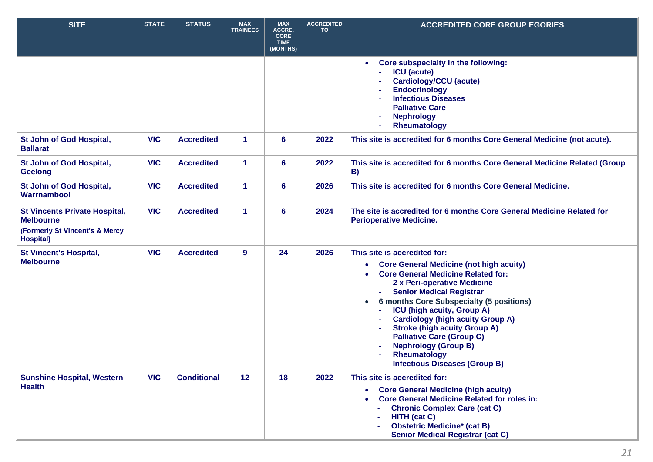| <b>SITE</b>                                                                                                     | <b>STATE</b> | <b>STATUS</b>      | <b>MAX</b><br><b>TRAINEES</b> | <b>MAX</b><br><b>ACCRE.</b><br><b>CORE</b><br><b>TIME</b><br>(MONTHS) | <b>ACCREDITED</b><br>TO | <b>ACCREDITED CORE GROUP EGORIES</b>                                                                                                                                                                                                                                                                                                                                                                                                                                                                            |
|-----------------------------------------------------------------------------------------------------------------|--------------|--------------------|-------------------------------|-----------------------------------------------------------------------|-------------------------|-----------------------------------------------------------------------------------------------------------------------------------------------------------------------------------------------------------------------------------------------------------------------------------------------------------------------------------------------------------------------------------------------------------------------------------------------------------------------------------------------------------------|
|                                                                                                                 |              |                    |                               |                                                                       |                         | Core subspecialty in the following:<br><b>ICU</b> (acute)<br>ä,<br><b>Cardiology/CCU (acute)</b><br><b>Endocrinology</b><br><b>Infectious Diseases</b><br><b>Palliative Care</b><br><b>Nephrology</b><br>Rheumatology<br>$\blacksquare$                                                                                                                                                                                                                                                                         |
| St John of God Hospital,<br><b>Ballarat</b>                                                                     | <b>VIC</b>   | <b>Accredited</b>  | $\blacktriangleleft$          | 6                                                                     | 2022                    | This site is accredited for 6 months Core General Medicine (not acute).                                                                                                                                                                                                                                                                                                                                                                                                                                         |
| St John of God Hospital,<br><b>Geelong</b>                                                                      | <b>VIC</b>   | <b>Accredited</b>  | $\blacktriangleleft$          | 6                                                                     | 2022                    | This site is accredited for 6 months Core General Medicine Related (Group<br>B)                                                                                                                                                                                                                                                                                                                                                                                                                                 |
| St John of God Hospital,<br><b>Warrnambool</b>                                                                  | <b>VIC</b>   | <b>Accredited</b>  | $\blacktriangleleft$          | 6                                                                     | 2026                    | This site is accredited for 6 months Core General Medicine.                                                                                                                                                                                                                                                                                                                                                                                                                                                     |
| <b>St Vincents Private Hospital,</b><br><b>Melbourne</b><br>(Formerly St Vincent's & Mercy<br><b>Hospital</b> ) | <b>VIC</b>   | <b>Accredited</b>  | $\blacktriangleleft$          | 6                                                                     | 2024                    | The site is accredited for 6 months Core General Medicine Related for<br><b>Perioperative Medicine.</b>                                                                                                                                                                                                                                                                                                                                                                                                         |
| <b>St Vincent's Hospital,</b><br><b>Melbourne</b>                                                               | <b>VIC</b>   | <b>Accredited</b>  | $\mathbf{9}$                  | 24                                                                    | 2026                    | This site is accredited for:<br><b>Core General Medicine (not high acuity)</b><br><b>Core General Medicine Related for:</b><br>2 x Peri-operative Medicine<br><b>Senior Medical Registrar</b><br><b>6 months Core Subspecialty (5 positions)</b><br>$\bullet$<br><b>ICU</b> (high acuity, Group A)<br><b>Cardiology (high acuity Group A)</b><br><b>Stroke (high acuity Group A)</b><br><b>Palliative Care (Group C)</b><br><b>Nephrology (Group B)</b><br>Rheumatology<br><b>Infectious Diseases (Group B)</b> |
| <b>Sunshine Hospital, Western</b><br><b>Health</b>                                                              | <b>VIC</b>   | <b>Conditional</b> | 12                            | 18                                                                    | 2022                    | This site is accredited for:<br><b>Core General Medicine (high acuity)</b><br><b>Core General Medicine Related for roles in:</b><br><b>Chronic Complex Care (cat C)</b><br>HITH (cat C)<br><b>Obstetric Medicine* (cat B)</b><br><b>Senior Medical Registrar (cat C)</b>                                                                                                                                                                                                                                        |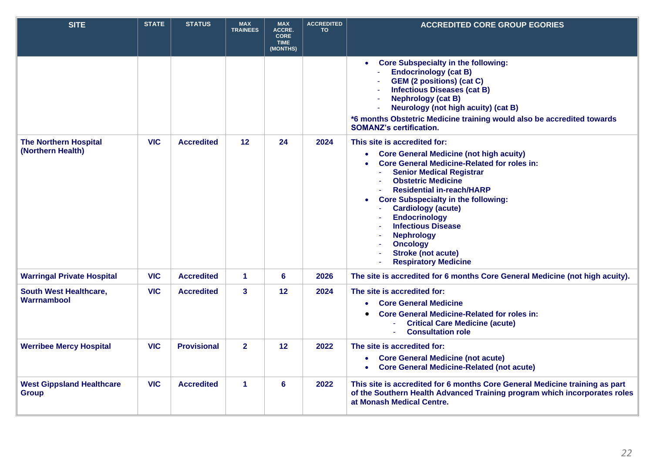| <b>SITE</b>                                       | <b>STATE</b> | <b>STATUS</b>      | <b>MAX</b><br><b>TRAINEES</b> | <b>MAX</b><br><b>ACCRE.</b><br><b>CORE</b><br><b>TIME</b><br>(MONTHS) | <b>ACCREDITED</b><br><b>TO</b> | <b>ACCREDITED CORE GROUP EGORIES</b>                                                                                                                                                                                                                                                                                                                                                                                                                                                                   |
|---------------------------------------------------|--------------|--------------------|-------------------------------|-----------------------------------------------------------------------|--------------------------------|--------------------------------------------------------------------------------------------------------------------------------------------------------------------------------------------------------------------------------------------------------------------------------------------------------------------------------------------------------------------------------------------------------------------------------------------------------------------------------------------------------|
|                                                   |              |                    |                               |                                                                       |                                | <b>Core Subspecialty in the following:</b><br>$\bullet$<br><b>Endocrinology (cat B)</b><br><b>GEM (2 positions) (cat C)</b><br><b>Infectious Diseases (cat B)</b><br><b>Nephrology (cat B)</b><br>Neurology (not high acuity) (cat B)<br>*6 months Obstetric Medicine training would also be accredited towards<br><b>SOMANZ's certification.</b>                                                                                                                                                      |
| <b>The Northern Hospital</b><br>(Northern Health) | <b>VIC</b>   | <b>Accredited</b>  | 12                            | 24                                                                    | 2024                           | This site is accredited for:<br><b>Core General Medicine (not high acuity)</b><br>$\bullet$<br><b>Core General Medicine-Related for roles in:</b><br><b>Senior Medical Registrar</b><br><b>Obstetric Medicine</b><br><b>Residential in-reach/HARP</b><br><b>Core Subspecialty in the following:</b><br>$\bullet$<br><b>Cardiology (acute)</b><br><b>Endocrinology</b><br><b>Infectious Disease</b><br><b>Nephrology</b><br><b>Oncology</b><br><b>Stroke (not acute)</b><br><b>Respiratory Medicine</b> |
| <b>Warringal Private Hospital</b>                 | <b>VIC</b>   | <b>Accredited</b>  | $\mathbf{1}$                  | 6                                                                     | 2026                           | The site is accredited for 6 months Core General Medicine (not high acuity).                                                                                                                                                                                                                                                                                                                                                                                                                           |
| South West Healthcare,<br><b>Warrnambool</b>      | <b>VIC</b>   | <b>Accredited</b>  | 3                             | 12                                                                    | 2024                           | The site is accredited for:<br><b>Core General Medicine</b><br><b>Core General Medicine-Related for roles in:</b><br><b>Critical Care Medicine (acute)</b><br><b>Consultation role</b><br>$\mathbf{r}$                                                                                                                                                                                                                                                                                                 |
| <b>Werribee Mercy Hospital</b>                    | <b>VIC</b>   | <b>Provisional</b> | $\overline{2}$                | 12                                                                    | 2022                           | The site is accredited for:<br><b>Core General Medicine (not acute)</b><br>$\bullet$<br><b>Core General Medicine-Related (not acute)</b><br>$\bullet$                                                                                                                                                                                                                                                                                                                                                  |
| <b>West Gippsland Healthcare</b><br><b>Group</b>  | <b>VIC</b>   | <b>Accredited</b>  | 1                             | 6                                                                     | 2022                           | This site is accredited for 6 months Core General Medicine training as part<br>of the Southern Health Advanced Training program which incorporates roles<br>at Monash Medical Centre.                                                                                                                                                                                                                                                                                                                  |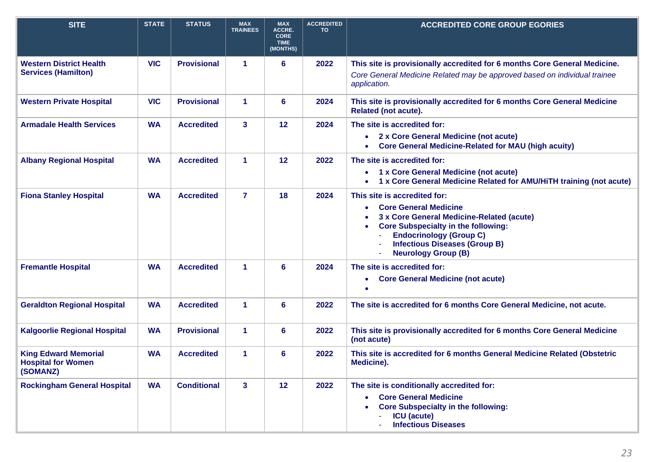| <b>SITE</b>                                                          | <b>STATE</b> | <b>STATUS</b>      | <b>MAX</b><br><b>TRAINEES</b> | <b>MAX</b><br><b>ACCRE.</b><br><b>CORE</b><br><b>TIME</b><br>(MONTHS) | <b>ACCREDITED</b><br><b>TO</b> | <b>ACCREDITED CORE GROUP EGORIES</b>                                                                                                                                                                                                                            |
|----------------------------------------------------------------------|--------------|--------------------|-------------------------------|-----------------------------------------------------------------------|--------------------------------|-----------------------------------------------------------------------------------------------------------------------------------------------------------------------------------------------------------------------------------------------------------------|
| <b>Western District Health</b><br><b>Services (Hamilton)</b>         | <b>VIC</b>   | <b>Provisional</b> | 1                             | 6                                                                     | 2022                           | This site is provisionally accredited for 6 months Core General Medicine.<br>Core General Medicine Related may be approved based on individual trainee<br>application.                                                                                          |
| <b>Western Private Hospital</b>                                      | <b>VIC</b>   | <b>Provisional</b> | 1                             | 6                                                                     | 2024                           | This site is provisionally accredited for 6 months Core General Medicine<br><b>Related (not acute).</b>                                                                                                                                                         |
| <b>Armadale Health Services</b>                                      | <b>WA</b>    | <b>Accredited</b>  | 3 <sup>1</sup>                | 12                                                                    | 2024                           | The site is accredited for:<br>• 2 x Core General Medicine (not acute)<br><b>Core General Medicine-Related for MAU (high acuity)</b>                                                                                                                            |
| <b>Albany Regional Hospital</b>                                      | <b>WA</b>    | <b>Accredited</b>  | 1                             | 12                                                                    | 2022                           | The site is accredited for:<br>1 x Core General Medicine (not acute)<br>1 x Core General Medicine Related for AMU/HiTH training (not acute)                                                                                                                     |
| <b>Fiona Stanley Hospital</b>                                        | <b>WA</b>    | <b>Accredited</b>  | 7                             | 18                                                                    | 2024                           | This site is accredited for:<br><b>Core General Medicine</b><br>3 x Core General Medicine-Related (acute)<br><b>Core Subspecialty in the following:</b><br><b>Endocrinology (Group C)</b><br><b>Infectious Diseases (Group B)</b><br><b>Neurology Group (B)</b> |
| <b>Fremantle Hospital</b>                                            | <b>WA</b>    | <b>Accredited</b>  | 1                             | 6                                                                     | 2024                           | The site is accredited for:<br><b>Core General Medicine (not acute)</b><br>$\bullet$                                                                                                                                                                            |
| <b>Geraldton Regional Hospital</b>                                   | <b>WA</b>    | <b>Accredited</b>  | 1                             | 6                                                                     | 2022                           | The site is accredited for 6 months Core General Medicine, not acute.                                                                                                                                                                                           |
| <b>Kalgoorlie Regional Hospital</b>                                  | <b>WA</b>    | <b>Provisional</b> | 1                             | 6                                                                     | 2022                           | This site is provisionally accredited for 6 months Core General Medicine<br>(not acute)                                                                                                                                                                         |
| <b>King Edward Memorial</b><br><b>Hospital for Women</b><br>(SOMANZ) | <b>WA</b>    | <b>Accredited</b>  | 1                             | 6                                                                     | 2022                           | This site is accredited for 6 months General Medicine Related (Obstetric<br>Medicine).                                                                                                                                                                          |
| <b>Rockingham General Hospital</b>                                   | <b>WA</b>    | <b>Conditional</b> | 3 <sup>1</sup>                | 12                                                                    | 2022                           | The site is conditionally accredited for:<br><b>Core General Medicine</b><br><b>Core Subspecialty in the following:</b><br><b>ICU</b> (acute)<br><b>Infectious Diseases</b>                                                                                     |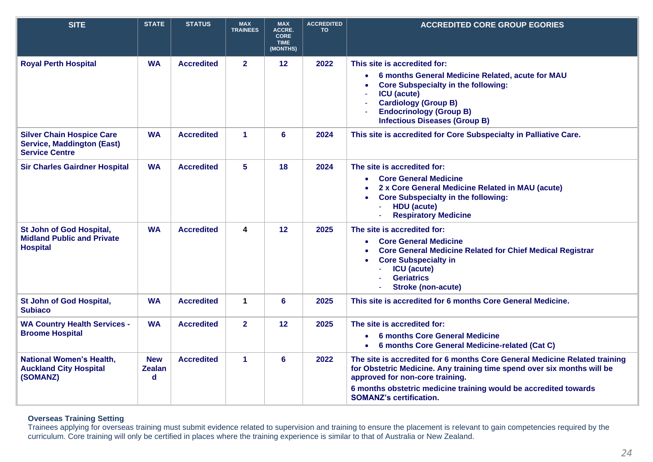| <b>SITE</b>                                                                                    | <b>STATE</b>              | <b>STATUS</b>     | <b>MAX</b><br><b>TRAINEES</b> | <b>MAX</b><br>ACCRE.<br><b>CORE</b><br><b>TIME</b><br>(MONTHS) | <b>ACCREDITED</b><br><b>TO</b> | <b>ACCREDITED CORE GROUP EGORIES</b>                                                                                                                                                                                                                                                           |
|------------------------------------------------------------------------------------------------|---------------------------|-------------------|-------------------------------|----------------------------------------------------------------|--------------------------------|------------------------------------------------------------------------------------------------------------------------------------------------------------------------------------------------------------------------------------------------------------------------------------------------|
| <b>Royal Perth Hospital</b>                                                                    | <b>WA</b>                 | <b>Accredited</b> | $\mathbf{2}$                  | 12                                                             | 2022                           | This site is accredited for:<br>6 months General Medicine Related, acute for MAU<br><b>Core Subspecialty in the following:</b><br><b>ICU</b> (acute)<br><b>Cardiology (Group B)</b><br><b>Endocrinology (Group B)</b><br><b>Infectious Diseases (Group B)</b>                                  |
| <b>Silver Chain Hospice Care</b><br><b>Service, Maddington (East)</b><br><b>Service Centre</b> | <b>WA</b>                 | <b>Accredited</b> | 1                             | 6                                                              | 2024                           | This site is accredited for Core Subspecialty in Palliative Care.                                                                                                                                                                                                                              |
| <b>Sir Charles Gairdner Hospital</b>                                                           | <b>WA</b>                 | <b>Accredited</b> | 5                             | 18                                                             | 2024                           | The site is accredited for:<br><b>Core General Medicine</b><br>2 x Core General Medicine Related in MAU (acute)<br><b>Core Subspecialty in the following:</b><br><b>HDU</b> (acute)<br><b>Respiratory Medicine</b>                                                                             |
| St John of God Hospital,<br><b>Midland Public and Private</b><br><b>Hospital</b>               | <b>WA</b>                 | <b>Accredited</b> | 4                             | 12 <sup>°</sup>                                                | 2025                           | The site is accredited for:<br><b>Core General Medicine</b><br><b>Core General Medicine Related for Chief Medical Registrar</b><br><b>Core Subspecialty in</b><br><b>ICU</b> (acute)<br><b>Geriatrics</b><br><b>Stroke (non-acute)</b>                                                         |
| St John of God Hospital,<br><b>Subiaco</b>                                                     | <b>WA</b>                 | <b>Accredited</b> | $\mathbf 1$                   | 6                                                              | 2025                           | This site is accredited for 6 months Core General Medicine.                                                                                                                                                                                                                                    |
| <b>WA Country Health Services -</b><br><b>Broome Hospital</b>                                  | <b>WA</b>                 | <b>Accredited</b> | $\mathbf{2}$                  | $12 \overline{ }$                                              | 2025                           | The site is accredited for:<br><b>6 months Core General Medicine</b><br>6 months Core General Medicine-related (Cat C)<br>$\bullet$                                                                                                                                                            |
| <b>National Women's Health,</b><br><b>Auckland City Hospital</b><br>(SOMANZ)                   | <b>New</b><br>Zealan<br>d | <b>Accredited</b> | $\mathbf{1}$                  | 6                                                              | 2022                           | The site is accredited for 6 months Core General Medicine Related training<br>for Obstetric Medicine. Any training time spend over six months will be<br>approved for non-core training.<br>6 months obstetric medicine training would be accredited towards<br><b>SOMANZ's certification.</b> |

## **Overseas Training Setting**

Trainees applying for overseas training must submit evidence related to supervision and training to ensure the placement is relevant to gain competencies required by the curriculum. Core training will only be certified in places where the training experience is similar to that of Australia or New Zealand.